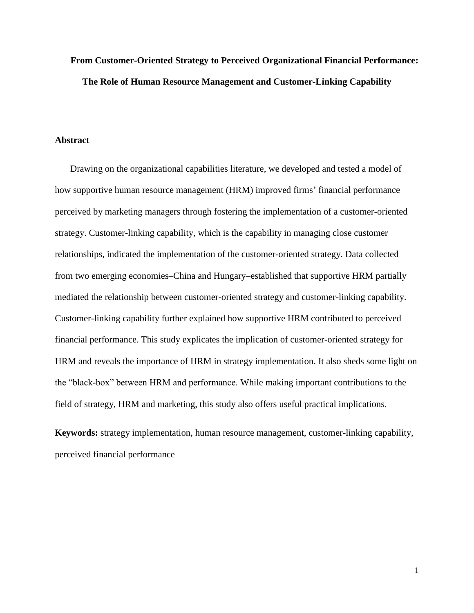# **From Customer-Oriented Strategy to Perceived Organizational Financial Performance: The Role of Human Resource Management and Customer-Linking Capability**

#### **Abstract**

Drawing on the organizational capabilities literature, we developed and tested a model of how supportive human resource management (HRM) improved firms' financial performance perceived by marketing managers through fostering the implementation of a customer-oriented strategy. Customer-linking capability, which is the capability in managing close customer relationships, indicated the implementation of the customer-oriented strategy. Data collected from two emerging economies–China and Hungary–established that supportive HRM partially mediated the relationship between customer-oriented strategy and customer-linking capability. Customer-linking capability further explained how supportive HRM contributed to perceived financial performance. This study explicates the implication of customer-oriented strategy for HRM and reveals the importance of HRM in strategy implementation. It also sheds some light on the "black-box" between HRM and performance. While making important contributions to the field of strategy, HRM and marketing, this study also offers useful practical implications.

**Keywords:** strategy implementation, human resource management, customer-linking capability, perceived financial performance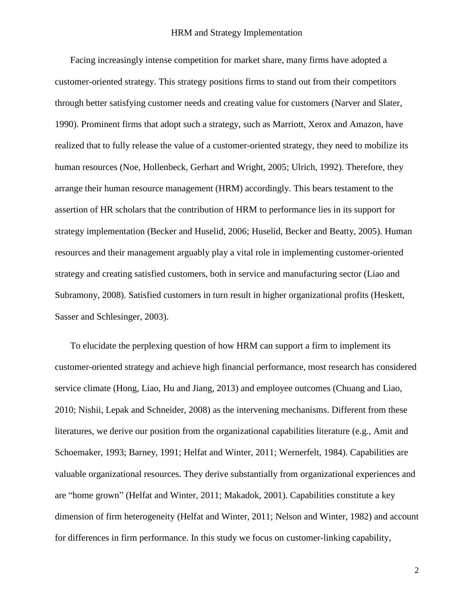Facing increasingly intense competition for market share, many firms have adopted a customer-oriented strategy. This strategy positions firms to stand out from their competitors through better satisfying customer needs and creating value for customers [\(Narver and Slater,](#page-37-0)  [1990\)](#page-37-0). Prominent firms that adopt such a strategy, such as Marriott, Xerox and Amazon, have realized that to fully release the value of a customer-oriented strategy, they need to mobilize its human resources [\(Noe, Hollenbeck, Gerhart and Wright, 2005;](#page-37-1) [Ulrich, 1992\)](#page-39-0). Therefore, they arrange their human resource management (HRM) accordingly. This bears testament to the assertion of HR scholars that the contribution of HRM to performance lies in its support for strategy implementation [\(Becker and Huselid, 2006;](#page-33-0) [Huselid, Becker and Beatty, 2005\)](#page-35-0). Human resources and their management arguably play a vital role in implementing customer-oriented strategy and creating satisfied customers, both in service and manufacturing sector [\(Liao and](#page-36-0)  [Subramony, 2008\)](#page-36-0). Satisfied customers in turn result in higher organizational profits [\(Heskett,](#page-35-1)  [Sasser and Schlesinger, 2003\)](#page-35-1).

To elucidate the perplexing question of how HRM can support a firm to implement its customer-oriented strategy and achieve high financial performance, most research has considered service climate [\(Hong, Liao, Hu and Jiang, 2013\)](#page-35-2) and employee outcomes [\(Chuang and Liao,](#page-34-0)  [2010;](#page-34-0) [Nishii, Lepak and Schneider, 2008\)](#page-37-2) as the intervening mechanisms. Different from these literatures, we derive our position from the organizational capabilities literature (e.g., [Amit and](#page-33-1)  [Schoemaker, 1993;](#page-33-1) [Barney, 1991;](#page-33-2) [Helfat and Winter,](#page-35-3) 2011; [Wernerfelt, 1984\)](#page-39-1). Capabilities are valuable organizational resources. They derive substantially from organizational experiences and are "home grown" [\(Helfat and Winter, 2011;](#page-35-3) [Makadok, 2001\)](#page-36-1). Capabilities constitute a key dimension of firm heterogeneity [\(Helfat and Winter, 2011;](#page-35-3) [Nelson and Winter, 1982\)](#page-37-3) and account for differences in firm performance. In this study we focus on customer-linking capability,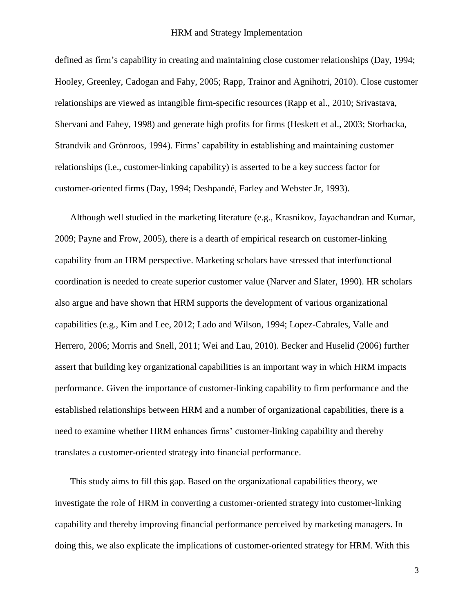defined as firm's capability in creating and maintaining close customer relationships [\(Day, 1994;](#page-34-1) [Hooley, Greenley, Cadogan and Fahy, 2005;](#page-35-4) [Rapp, Trainor and Agnihotri, 2010\)](#page-37-4). Close customer relationships are viewed as intangible firm-specific resources [\(Rapp et al., 2010;](#page-37-4) [Srivastava,](#page-38-0)  [Shervani and Fahey, 1998\)](#page-38-0) and generate high profits for firms [\(Heskett et al., 2003;](#page-35-1) [Storbacka,](#page-38-1)  [Strandvik and Grönroos, 1994\)](#page-38-1). Firms' capability in establishing and maintaining customer relationships (i.e., customer-linking capability) is asserted to be a key success factor for customer-oriented firms [\(Day, 1994;](#page-34-1) [Deshpandé, Farley and Webster Jr, 1993\)](#page-34-2).

Although well studied in the marketing literature (e.g., [Krasnikov, Jayachandran and Kumar,](#page-36-2)  [2009;](#page-36-2) [Payne and Frow, 2005\)](#page-37-5), there is a dearth of empirical research on customer-linking capability from an HRM perspective. Marketing scholars have stressed that interfunctional coordination is needed to create superior customer value [\(Narver and Slater, 1990\)](#page-37-0). HR scholars also argue and have shown that HRM supports the development of various organizational capabilities (e.g., [Kim and Lee, 2012;](#page-36-3) [Lado and Wilson, 1994;](#page-36-4) [Lopez-Cabrales, Valle and](#page-36-5)  [Herrero, 2006;](#page-36-5) [Morris and Snell, 2011;](#page-36-6) [Wei and Lau, 2010\)](#page-39-2). [Becker and Huselid \(2006\)](#page-33-0) further assert that building key organizational capabilities is an important way in which HRM impacts performance. Given the importance of customer-linking capability to firm performance and the established relationships between HRM and a number of organizational capabilities, there is a need to examine whether HRM enhances firms' customer-linking capability and thereby translates a customer-oriented strategy into financial performance.

This study aims to fill this gap. Based on the organizational capabilities theory, we investigate the role of HRM in converting a customer-oriented strategy into customer-linking capability and thereby improving financial performance perceived by marketing managers. In doing this, we also explicate the implications of customer-oriented strategy for HRM. With this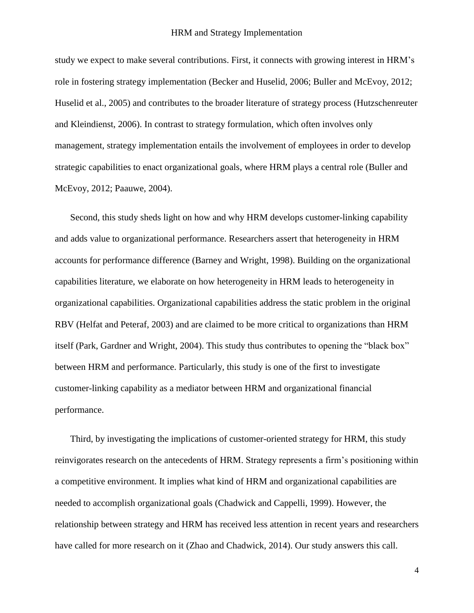study we expect to make several contributions. First, it connects with growing interest in HRM's role in fostering strategy implementation [\(Becker and Huselid, 2006;](#page-33-0) [Buller and McEvoy, 2012;](#page-33-3) [Huselid et al., 2005\)](#page-35-0) and contributes to the broader literature of strategy process [\(Hutzschenreuter](#page-36-7)  [and Kleindienst, 2006\)](#page-36-7). In contrast to strategy formulation, which often involves only management, strategy implementation entails the involvement of employees in order to develop strategic capabilities to enact organizational goals, where HRM plays a central role [\(Buller and](#page-33-3)  [McEvoy, 2012;](#page-33-3) [Paauwe, 2004\)](#page-37-6).

Second, this study sheds light on how and why HRM develops customer-linking capability and adds value to organizational performance. Researchers assert that heterogeneity in HRM accounts for performance difference [\(Barney and Wright, 1998\)](#page-33-4). Building on the organizational capabilities literature, we elaborate on how heterogeneity in HRM leads to heterogeneity in organizational capabilities. Organizational capabilities address the static problem in the original RBV [\(Helfat and Peteraf, 2003\)](#page-35-5) and are claimed to be more critical to organizations than HRM itself [\(Park, Gardner and Wright, 2004\)](#page-37-7). This study thus contributes to opening the "black box" between HRM and performance. Particularly, this study is one of the first to investigate customer-linking capability as a mediator between HRM and organizational financial performance.

Third, by investigating the implications of customer-oriented strategy for HRM, this study reinvigorates research on the antecedents of HRM. Strategy represents a firm's positioning within a competitive environment. It implies what kind of HRM and organizational capabilities are needed to accomplish organizational goals [\(Chadwick and Cappelli, 1999\)](#page-34-3). However, the relationship between strategy and HRM has received less attention in recent years and researchers have called for more research on it [\(Zhao and Chadwick, 2014\)](#page-39-3). Our study answers this call.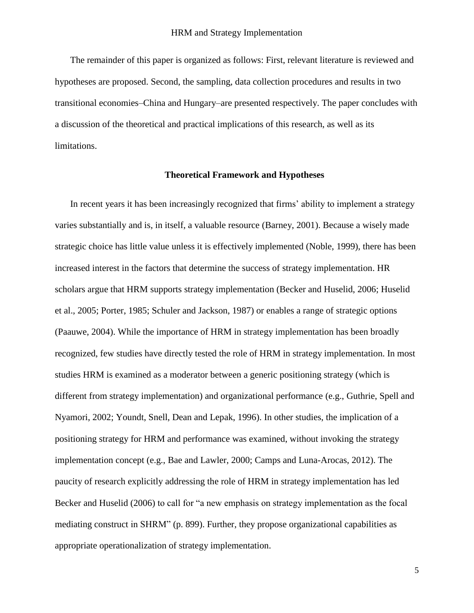The remainder of this paper is organized as follows: First, relevant literature is reviewed and hypotheses are proposed. Second, the sampling, data collection procedures and results in two transitional economies–China and Hungary–are presented respectively. The paper concludes with a discussion of the theoretical and practical implications of this research, as well as its limitations.

## **Theoretical Framework and Hypotheses**

In recent years it has been increasingly recognized that firms' ability to implement a strategy varies substantially and is, in itself, a valuable resource [\(Barney, 2001\)](#page-33-5). Because a wisely made strategic choice has little value unless it is effectively implemented [\(Noble, 1999\)](#page-37-8), there has been increased interest in the factors that determine the success of strategy implementation. HR scholars argue that HRM supports strategy implementation [\(Becker and Huselid, 2006;](#page-33-0) [Huselid](#page-35-0)  [et al., 2005;](#page-35-0) [Porter, 1985;](#page-37-9) [Schuler and Jackson, 1987\)](#page-38-2) or enables a range of strategic options [\(Paauwe, 2004\)](#page-37-6). While the importance of HRM in strategy implementation has been broadly recognized, few studies have directly tested the role of HRM in strategy implementation. In most studies HRM is examined as a moderator between a generic positioning strategy (which is different from strategy implementation) and organizational performance (e.g., [Guthrie, Spell and](#page-35-6)  [Nyamori, 2002;](#page-35-6) [Youndt, Snell, Dean and Lepak, 1996\)](#page-39-4). In other studies, the implication of a positioning strategy for HRM and performance was examined, without invoking the strategy implementation concept (e.g., [Bae and Lawler, 2000;](#page-33-6) [Camps and Luna-Arocas, 2012\)](#page-33-7). The paucity of research explicitly addressing the role of HRM in strategy implementation has led Becker and Huselid [\(2006\)](#page-33-0) to call for "a new emphasis on strategy implementation as the focal mediating construct in SHRM" (p. 899). Further, they propose organizational capabilities as appropriate operationalization of strategy implementation.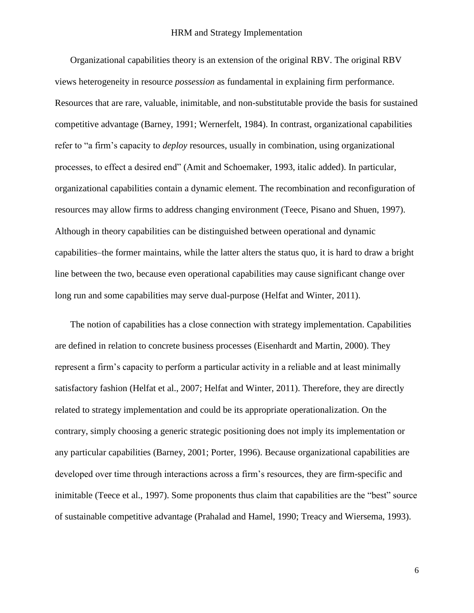Organizational capabilities theory is an extension of the original RBV. The original RBV views heterogeneity in resource *possession* as fundamental in explaining firm performance. Resources that are rare, valuable, inimitable, and non-substitutable provide the basis for sustained competitive advantage [\(Barney, 1991;](#page-33-2) [Wernerfelt, 1984\)](#page-39-1). In contrast, organizational capabilities refer to "a firm's capacity to *deploy* resources, usually in combination, using organizational processes, to effect a desired end" [\(Amit and Schoemaker, 1993, italic added\)](#page-33-1). In particular, organizational capabilities contain a dynamic element. The recombination and reconfiguration of resources may allow firms to address changing environment [\(Teece, Pisano and Shuen, 1997\)](#page-38-3). Although in theory capabilities can be distinguished between operational and dynamic capabilities–the former maintains, while the latter alters the status quo, it is hard to draw a bright line between the two, because even operational capabilities may cause significant change over long run and some capabilities may serve dual-purpose [\(Helfat and Winter, 2011\)](#page-35-3).

The notion of capabilities has a close connection with strategy implementation. Capabilities are defined in relation to concrete business processes [\(Eisenhardt and Martin, 2000\)](#page-34-4). They represent a firm's capacity to perform a particular activity in a reliable and at least minimally satisfactory fashion [\(Helfat et al., 2007;](#page-35-7) [Helfat and Winter, 2011\)](#page-35-3). Therefore, they are directly related to strategy implementation and could be its appropriate operationalization. On the contrary, simply choosing a generic strategic positioning does not imply its implementation or any particular capabilities [\(Barney, 2001;](#page-33-5) [Porter, 1996\)](#page-37-10). Because organizational capabilities are developed over time through interactions across a firm's resources, they are firm-specific and inimitable [\(Teece et al., 1997\)](#page-38-3). Some proponents thus claim that capabilities are the "best" source of sustainable competitive advantage [\(Prahalad and Hamel, 1990;](#page-37-11) [Treacy and Wiersema, 1993\)](#page-39-5).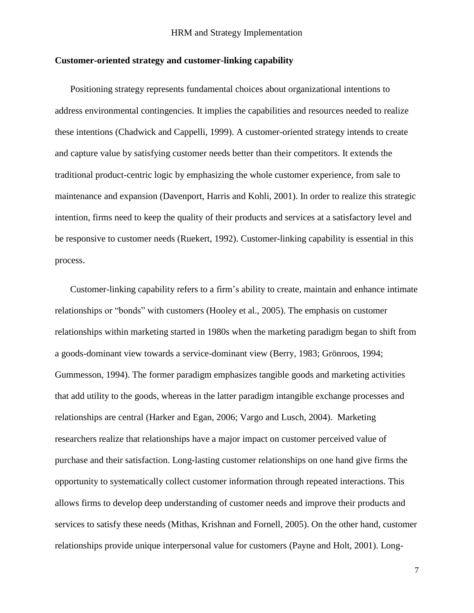## **Customer-oriented strategy and customer-linking capability**

Positioning strategy represents fundamental choices about organizational intentions to address environmental contingencies. It implies the capabilities and resources needed to realize these intentions [\(Chadwick and Cappelli, 1999\)](#page-34-3). A customer-oriented strategy intends to create and capture value by satisfying customer needs better than their competitors. It extends the traditional product-centric logic by emphasizing the whole customer experience, from sale to maintenance and expansion [\(Davenport, Harris and Kohli, 2001\)](#page-34-5). In order to realize this strategic intention, firms need to keep the quality of their products and services at a satisfactory level and be responsive to customer needs [\(Ruekert, 1992\)](#page-38-4). Customer-linking capability is essential in this process.

Customer-linking capability refers to a firm's ability to create, maintain and enhance intimate relationships or "bonds" with customers [\(Hooley et al., 2005\)](#page-35-4). The emphasis on customer relationships within marketing started in 1980s when the marketing paradigm began to shift from a goods-dominant view towards a service-dominant view [\(Berry, 1983;](#page-33-8) [Grönroos, 1994;](#page-35-8) [Gummesson, 1994\)](#page-35-9). The former paradigm emphasizes tangible goods and marketing activities that add utility to the goods, whereas in the latter paradigm intangible exchange processes and relationships are central [\(Harker and Egan, 2006;](#page-35-10) [Vargo and Lusch, 2004\)](#page-39-6). Marketing researchers realize that relationships have a major impact on customer perceived value of purchase and their satisfaction. Long-lasting customer relationships on one hand give firms the opportunity to systematically collect customer information through repeated interactions. This allows firms to develop deep understanding of customer needs and improve their products and services to satisfy these needs [\(Mithas, Krishnan and Fornell, 2005\)](#page-36-8). On the other hand, customer relationships provide unique interpersonal value for customers [\(Payne and Holt, 2001\)](#page-37-12). Long-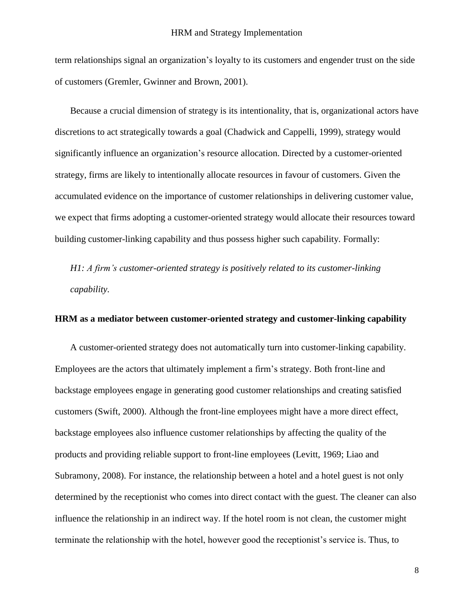term relationships signal an organization's loyalty to its customers and engender trust on the side of customers [\(Gremler, Gwinner and Brown, 2001\)](#page-34-6).

Because a crucial dimension of strategy is its intentionality, that is, organizational actors have discretions to act strategically towards a goal [\(Chadwick and Cappelli, 1999\)](#page-34-3), strategy would significantly influence an organization's resource allocation. Directed by a customer-oriented strategy, firms are likely to intentionally allocate resources in favour of customers. Given the accumulated evidence on the importance of customer relationships in delivering customer value, we expect that firms adopting a customer-oriented strategy would allocate their resources toward building customer-linking capability and thus possess higher such capability. Formally:

*H1: A firm's customer-oriented strategy is positively related to its customer-linking capability.* 

#### **HRM as a mediator between customer-oriented strategy and customer-linking capability**

A customer-oriented strategy does not automatically turn into customer-linking capability. Employees are the actors that ultimately implement a firm's strategy. Both front-line and backstage employees engage in generating good customer relationships and creating satisfied customers [\(Swift, 2000\)](#page-38-5). Although the front-line employees might have a more direct effect, backstage employees also influence customer relationships by affecting the quality of the products and providing reliable support to front-line employees [\(Levitt, 1969;](#page-36-9) [Liao and](#page-36-0)  [Subramony, 2008\)](#page-36-0). For instance, the relationship between a hotel and a hotel guest is not only determined by the receptionist who comes into direct contact with the guest. The cleaner can also influence the relationship in an indirect way. If the hotel room is not clean, the customer might terminate the relationship with the hotel, however good the receptionist's service is. Thus, to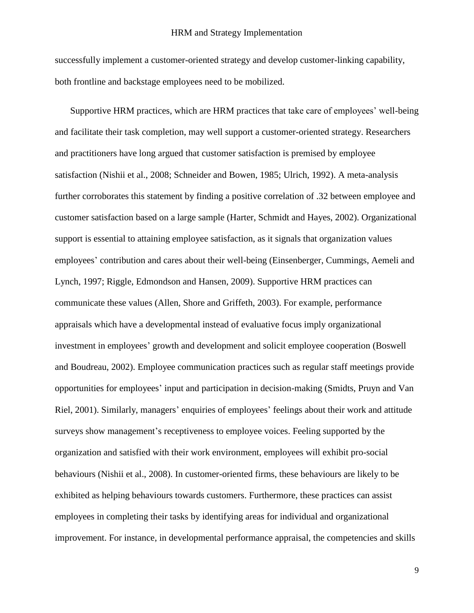successfully implement a customer-oriented strategy and develop customer-linking capability, both frontline and backstage employees need to be mobilized.

Supportive HRM practices, which are HRM practices that take care of employees' well-being and facilitate their task completion, may well support a customer-oriented strategy. Researchers and practitioners have long argued that customer satisfaction is premised by employee satisfaction [\(Nishii et al., 2008;](#page-37-2) [Schneider and Bowen, 1985;](#page-38-6) [Ulrich, 1992\)](#page-39-0). A meta-analysis further corroborates this statement by finding a positive correlation of .32 between employee and customer satisfaction based on a large sample [\(Harter, Schmidt and Hayes, 2002\)](#page-35-11). Organizational support is essential to attaining employee satisfaction, as it signals that organization values employees' contribution and cares about their well-being [\(Einsenberger, Cummings, Aemeli and](#page-34-7)  [Lynch, 1997;](#page-34-7) [Riggle, Edmondson and Hansen, 2009\)](#page-37-13). Supportive HRM practices can communicate these values [\(Allen, Shore and Griffeth, 2003\)](#page-33-9). For example, performance appraisals which have a developmental instead of evaluative focus imply organizational investment in employees' growth and development and solicit employee cooperation [\(Boswell](#page-33-10)  [and Boudreau, 2002\)](#page-33-10). Employee communication practices such as regular staff meetings provide opportunities for employees' input and participation in decision-making [\(Smidts, Pruyn and Van](#page-38-7)  [Riel, 2001\)](#page-38-7). Similarly, managers' enquiries of employees' feelings about their work and attitude surveys show management's receptiveness to employee voices. Feeling supported by the organization and satisfied with their work environment, employees will exhibit pro-social behaviours [\(Nishii et al., 2008\)](#page-37-2). In customer-oriented firms, these behaviours are likely to be exhibited as helping behaviours towards customers. Furthermore, these practices can assist employees in completing their tasks by identifying areas for individual and organizational improvement. For instance, in developmental performance appraisal, the competencies and skills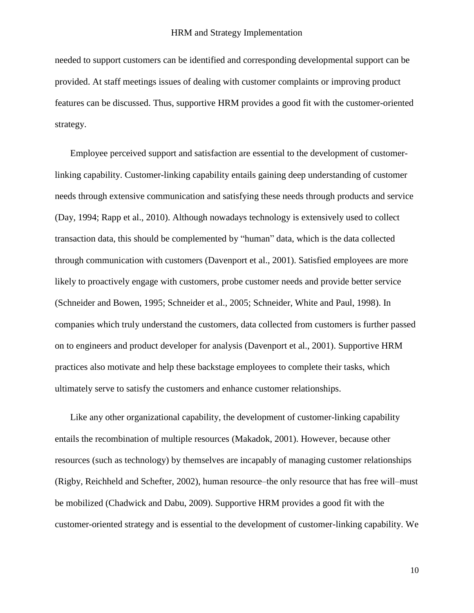needed to support customers can be identified and corresponding developmental support can be provided. At staff meetings issues of dealing with customer complaints or improving product features can be discussed. Thus, supportive HRM provides a good fit with the customer-oriented strategy.

Employee perceived support and satisfaction are essential to the development of customerlinking capability. Customer-linking capability entails gaining deep understanding of customer needs through extensive communication and satisfying these needs through products and service [\(Day, 1994;](#page-34-1) [Rapp et al., 2010\)](#page-37-4). Although nowadays technology is extensively used to collect transaction data, this should be complemented by "human" data, which is the data collected through communication with customers [\(Davenport et al., 2001\)](#page-34-5). Satisfied employees are more likely to proactively engage with customers, probe customer needs and provide better service [\(Schneider and Bowen, 1995;](#page-38-8) [Schneider et al., 2005;](#page-38-9) [Schneider, White and Paul, 1998\)](#page-38-10). In companies which truly understand the customers, data collected from customers is further passed on to engineers and product developer for analysis [\(Davenport et al., 2001\)](#page-34-5). Supportive HRM practices also motivate and help these backstage employees to complete their tasks, which ultimately serve to satisfy the customers and enhance customer relationships.

Like any other organizational capability, the development of customer-linking capability entails the recombination of multiple resources [\(Makadok, 2001\)](#page-36-1). However, because other resources (such as technology) by themselves are incapably of managing customer relationships [\(Rigby, Reichheld and Schefter, 2002\)](#page-37-14), human resource–the only resource that has free will–must be mobilized [\(Chadwick and Dabu, 2009\)](#page-34-8). Supportive HRM provides a good fit with the customer-oriented strategy and is essential to the development of customer-linking capability. We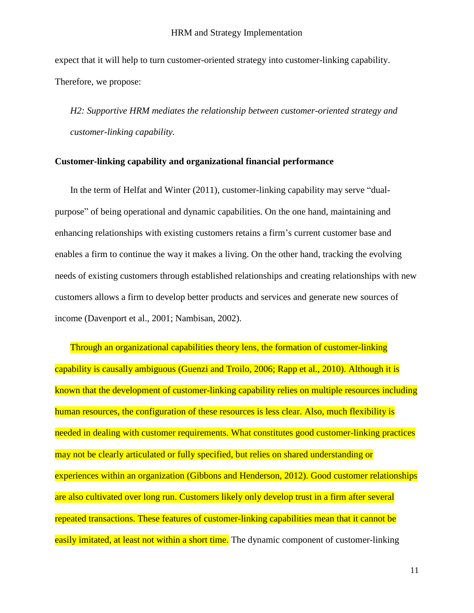expect that it will help to turn customer-oriented strategy into customer-linking capability. Therefore, we propose:

*H2: Supportive HRM mediates the relationship between customer-oriented strategy and customer-linking capability.* 

## **Customer-linking capability and organizational financial performance**

In the term of [Helfat and Winter \(2011\),](#page-35-3) customer-linking capability may serve "dualpurpose" of being operational and dynamic capabilities. On the one hand, maintaining and enhancing relationships with existing customers retains a firm's current customer base and enables a firm to continue the way it makes a living. On the other hand, tracking the evolving needs of existing customers through established relationships and creating relationships with new customers allows a firm to develop better products and services and generate new sources of income [\(Davenport et al., 2001;](#page-34-5) [Nambisan, 2002\)](#page-36-10).

Through an organizational capabilities theory lens, the formation of customer-linking capability is causally ambiguous [\(Guenzi and Troilo, 2006;](#page-35-12) [Rapp et al., 2010\)](#page-37-4). Although it is known that the development of customer-linking capability relies on multiple resources including human resources, the configuration of these resources is less clear. Also, much flexibility is needed in dealing with customer requirements. What constitutes good customer-linking practices may not be clearly articulated or fully specified, but relies on shared understanding or experiences within an organization [\(Gibbons and Henderson, 2012\)](#page-34-9). Good customer relationships are also cultivated over long run. Customers likely only develop trust in a firm after several repeated transactions. These features of customer-linking capabilities mean that it cannot be easily imitated, at least not within a short time. The dynamic component of customer-linking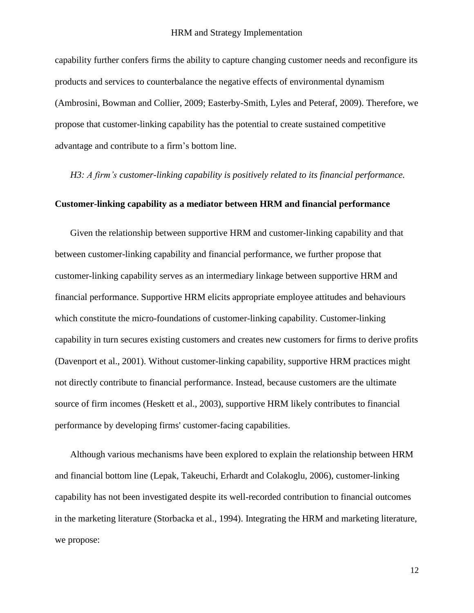capability further confers firms the ability to capture changing customer needs and reconfigure its products and services to counterbalance the negative effects of environmental dynamism [\(Ambrosini, Bowman and Collier, 2009;](#page-33-11) [Easterby-Smith, Lyles and Peteraf, 2009\)](#page-34-10). Therefore, we propose that customer-linking capability has the potential to create sustained competitive advantage and contribute to a firm's bottom line.

*H3: A firm's customer-linking capability is positively related to its financial performance.* 

# **Customer-linking capability as a mediator between HRM and financial performance**

Given the relationship between supportive HRM and customer-linking capability and that between customer-linking capability and financial performance, we further propose that customer-linking capability serves as an intermediary linkage between supportive HRM and financial performance. Supportive HRM elicits appropriate employee attitudes and behaviours which constitute the micro-foundations of customer-linking capability. Customer-linking capability in turn secures existing customers and creates new customers for firms to derive profits [\(Davenport et al., 2001\)](#page-34-5). Without customer-linking capability, supportive HRM practices might not directly contribute to financial performance. Instead, because customers are the ultimate source of firm incomes [\(Heskett et al., 2003\)](#page-35-1), supportive HRM likely contributes to financial performance by developing firms' customer-facing capabilities.

Although various mechanisms have been explored to explain the relationship between HRM and financial bottom line [\(Lepak, Takeuchi, Erhardt and Colakoglu, 2006\)](#page-36-11), customer-linking capability has not been investigated despite its well-recorded contribution to financial outcomes in the marketing literature [\(Storbacka et al.,](#page-38-1) 1994). Integrating the HRM and marketing literature, we propose: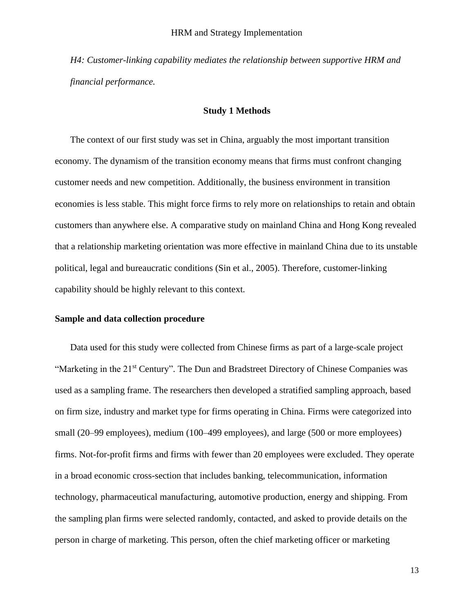*H4: Customer-linking capability mediates the relationship between supportive HRM and financial performance.*

## **Study 1 Methods**

The context of our first study was set in China, arguably the most important transition economy. The dynamism of the transition economy means that firms must confront changing customer needs and new competition. Additionally, the business environment in transition economies is less stable. This might force firms to rely more on relationships to retain and obtain customers than anywhere else. A comparative study on mainland China and Hong Kong revealed that a relationship marketing orientation was more effective in mainland China due to its unstable political, legal and bureaucratic conditions [\(Sin et al., 2005\)](#page-38-11). Therefore, customer-linking capability should be highly relevant to this context.

#### **Sample and data collection procedure**

Data used for this study were collected from Chinese firms as part of a large-scale project "Marketing in the 21<sup>st</sup> Century". The Dun and Bradstreet Directory of Chinese Companies was used as a sampling frame. The researchers then developed a stratified sampling approach, based on firm size, industry and market type for firms operating in China. Firms were categorized into small (20–99 employees), medium (100–499 employees), and large (500 or more employees) firms. Not-for-profit firms and firms with fewer than 20 employees were excluded. They operate in a broad economic cross-section that includes banking, telecommunication, information technology, pharmaceutical manufacturing, automotive production, energy and shipping. From the sampling plan firms were selected randomly, contacted, and asked to provide details on the person in charge of marketing. This person, often the chief marketing officer or marketing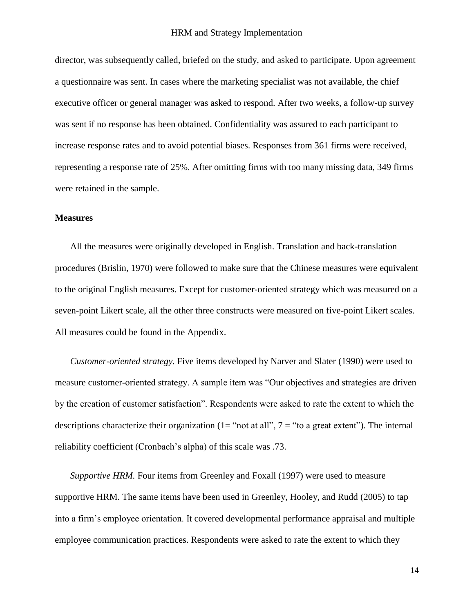director, was subsequently called, briefed on the study, and asked to participate. Upon agreement a questionnaire was sent. In cases where the marketing specialist was not available, the chief executive officer or general manager was asked to respond. After two weeks, a follow-up survey was sent if no response has been obtained. Confidentiality was assured to each participant to increase response rates and to avoid potential biases. Responses from 361 firms were received, representing a response rate of 25%. After omitting firms with too many missing data, 349 firms were retained in the sample.

#### **Measures**

All the measures were originally developed in English. Translation and back-translation procedures [\(Brislin, 1970\)](#page-33-12) were followed to make sure that the Chinese measures were equivalent to the original English measures. Except for customer-oriented strategy which was measured on a seven-point Likert scale, all the other three constructs were measured on five-point Likert scales. All measures could be found in the Appendix.

*Customer-oriented strategy.* Five items developed by Narver and Slater [\(1990\)](#page-37-0) were used to measure customer-oriented strategy. A sample item was "Our objectives and strategies are driven by the creation of customer satisfaction". Respondents were asked to rate the extent to which the descriptions characterize their organization (1= "not at all",  $7 =$  "to a great extent"). The internal reliability coefficient (Cronbach's alpha) of this scale was .73.

*Supportive HRM.* Four items from Greenley and Foxall [\(1997\)](#page-34-11) were used to measure supportive HRM. The same items have been used in Greenley, Hooley, and Rudd [\(2005\)](#page-34-12) to tap into a firm's employee orientation. It covered developmental performance appraisal and multiple employee communication practices. Respondents were asked to rate the extent to which they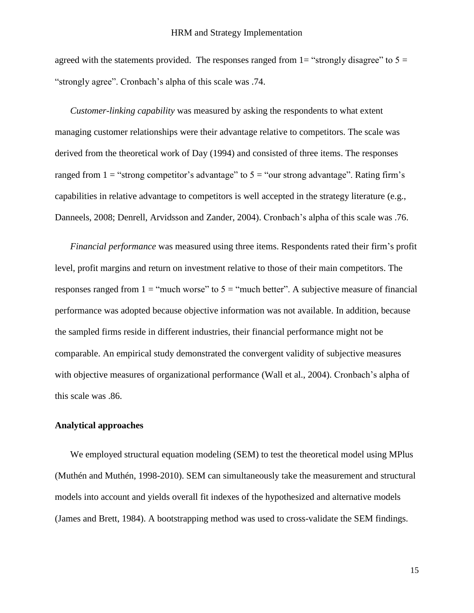agreed with the statements provided. The responses ranged from  $1=$  "strongly disagree" to  $5=$ "strongly agree". Cronbach's alpha of this scale was .74.

*Customer-linking capability* was measured by asking the respondents to what extent managing customer relationships were their advantage relative to competitors. The scale was derived from the theoretical work of Day [\(1994\)](#page-34-1) and consisted of three items. The responses ranged from  $1 =$  "strong competitor's advantage" to  $5 =$  "our strong advantage". Rating firm's capabilities in relative advantage to competitors is well accepted in the strategy literature (e.g., [Danneels, 2008;](#page-34-13) [Denrell, Arvidsson and Zander, 2004\)](#page-34-14). Cronbach's alpha of this scale was .76.

*Financial performance* was measured using three items. Respondents rated their firm's profit level, profit margins and return on investment relative to those of their main competitors. The responses ranged from  $1 =$  "much worse" to  $5 =$  "much better". A subjective measure of financial performance was adopted because objective information was not available. In addition, because the sampled firms reside in different industries, their financial performance might not be comparable. An empirical study demonstrated the convergent validity of subjective measures with objective measures of organizational performance [\(Wall et al., 2004\)](#page-39-7). Cronbach's alpha of this scale was .86.

## **Analytical approaches**

We employed structural equation modeling (SEM) to test the theoretical model using MPlus [\(Muthén and Muthén, 1998-2010\)](#page-36-12). SEM can simultaneously take the measurement and structural models into account and yields overall fit indexes of the hypothesized and alternative models [\(James and Brett, 1984\)](#page-36-13). A bootstrapping method was used to cross-validate the SEM findings.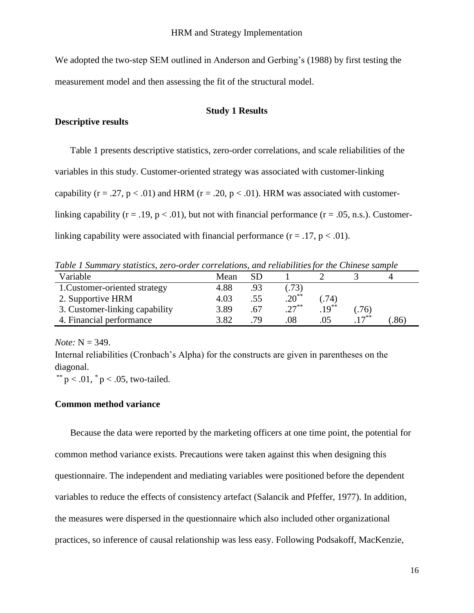We adopted the two-step SEM outlined in Anderson and Gerbing's [\(1988\)](#page-33-13) by first testing the measurement model and then assessing the fit of the structural model.

# **Study 1 Results**

#### **Descriptive results**

Table 1 presents descriptive statistics, zero-order correlations, and scale reliabilities of the variables in this study. Customer-oriented strategy was associated with customer-linking capability ( $r = .27$ ,  $p < .01$ ) and HRM ( $r = .20$ ,  $p < .01$ ). HRM was associated with customerlinking capability ( $r = .19$ ,  $p < .01$ ), but not with financial performance ( $r = .05$ , n.s.). Customerlinking capability were associated with financial performance  $(r = .17, p < .01)$ .

*Table 1 Summary statistics, zero-order correlations, and reliabilitiesfor the Chinese sample*

| Variable                       | Mean |     |            |          |           |     |
|--------------------------------|------|-----|------------|----------|-----------|-----|
| 1. Customer-oriented strategy  | 4.88 | .93 | .73)       |          |           |     |
| 2. Supportive HRM              | 4.03 | .55 | $.20^{**}$ | (74)     |           |     |
| 3. Customer-linking capability | 3.89 | .67 | $.27***$   | $.19***$ | (76)      |     |
| 4. Financial performance       | 3.82 | 79  | .08        | .05      | $17^{**}$ | .86 |

*Note:* N = 349.

Internal reliabilities (Cronbach's Alpha) for the constructs are given in parentheses on the diagonal.

\*\*  $p < .01$ ,  $p < .05$ , two-tailed.

## **Common method variance**

Because the data were reported by the marketing officers at one time point, the potential for common method variance exists. Precautions were taken against this when designing this questionnaire. The independent and mediating variables were positioned before the dependent variables to reduce the effects of consistency artefact [\(Salancik and Pfeffer, 1977\)](#page-38-12). In addition, the measures were dispersed in the questionnaire which also included other organizational practices, so inference of causal relationship was less easy. Following Podsakoff, MacKenzie,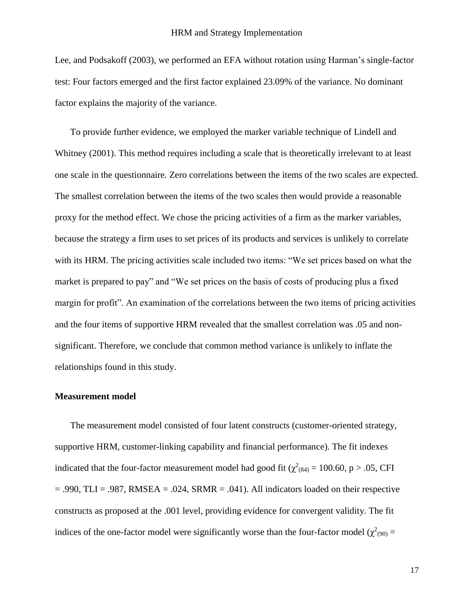Lee, and Podsakoff [\(2003\)](#page-37-15), we performed an EFA without rotation using Harman's single-factor test: Four factors emerged and the first factor explained 23.09% of the variance. No dominant factor explains the majority of the variance.

To provide further evidence, we employed the marker variable technique of [Lindell and](#page-36-14)  Whitney (2001). This method requires including a scale that is theoretically irrelevant to at least one scale in the questionnaire. Zero correlations between the items of the two scales are expected. The smallest correlation between the items of the two scales then would provide a reasonable proxy for the method effect. We chose the pricing activities of a firm as the marker variables, because the strategy a firm uses to set prices of its products and services is unlikely to correlate with its HRM. The pricing activities scale included two items: "We set prices based on what the market is prepared to pay" and "We set prices on the basis of costs of producing plus a fixed margin for profit". An examination of the correlations between the two items of pricing activities and the four items of supportive HRM revealed that the smallest correlation was .05 and nonsignificant. Therefore, we conclude that common method variance is unlikely to inflate the relationships found in this study.

## **Measurement model**

The measurement model consisted of four latent constructs (customer-oriented strategy, supportive HRM, customer-linking capability and financial performance). The fit indexes indicated that the four-factor measurement model had good fit ( $\chi^2$ <sub>(84)</sub> = 100.60, p > .05, CFI  $= .990$ , TLI = .987, RMSEA = .024, SRMR = .041). All indicators loaded on their respective constructs as proposed at the .001 level, providing evidence for convergent validity. The fit indices of the one-factor model were significantly worse than the four-factor model ( $\chi^2$ <sub>(90)</sub> =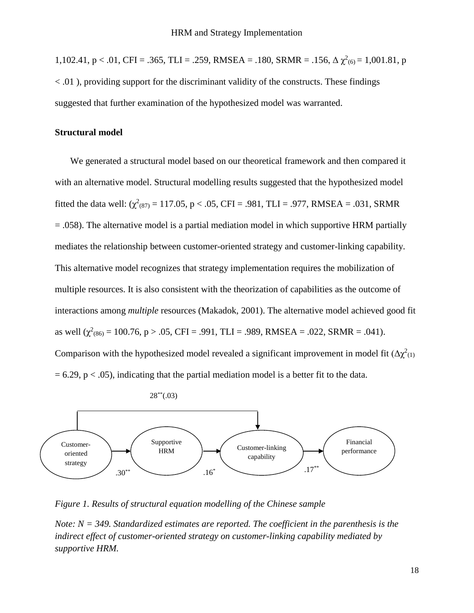1,102.41, p < .01, CFI = .365, TLI = .259, RMSEA = .180, SRMR = .156,  $\Delta \chi^2_{(6)} = 1,001.81$ , p < .01 ), providing support for the discriminant validity of the constructs. These findings suggested that further examination of the hypothesized model was warranted.

## **Structural model**

We generated a structural model based on our theoretical framework and then compared it with an alternative model. Structural modelling results suggested that the hypothesized model fitted the data well:  $(\chi^2_{(87)} = 117.05, p < .05, CFI = .981, TLI = .977, RMSEA = .031, SRMR)$ = .058). The alternative model is a partial mediation model in which supportive HRM partially mediates the relationship between customer-oriented strategy and customer-linking capability. This alternative model recognizes that strategy implementation requires the mobilization of multiple resources. It is also consistent with the theorization of capabilities as the outcome of interactions among *multiple* resources [\(Makadok, 2001\)](#page-36-1). The alternative model achieved good fit as well ( $\chi^2_{(86)} = 100.76$ , p > .05, CFI = .991, TLI = .989, RMSEA = .022, SRMR = .041). Comparison with the hypothesized model revealed a significant improvement in model fit  $(\Delta \chi^2_{(1)})$  $= 6.29$ ,  $p < .05$ ), indicating that the partial mediation model is a better fit to the data.





*Figure 1. Results of structural equation modelling of the Chinese sample* 

*Note: N = 349. Standardized estimates are reported. The coefficient in the parenthesis is the indirect effect of customer-oriented strategy on customer-linking capability mediated by supportive HRM.*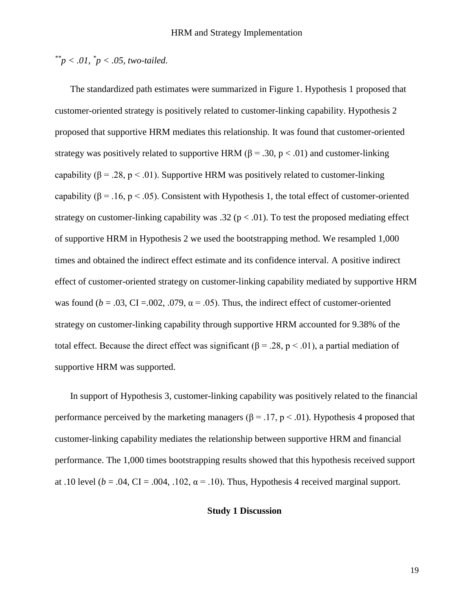# *\*\*p < .01, \* p < .05, two-tailed.*

The standardized path estimates were summarized in Figure 1. Hypothesis 1 proposed that customer-oriented strategy is positively related to customer-linking capability. Hypothesis 2 proposed that supportive HRM mediates this relationship. It was found that customer-oriented strategy was positively related to supportive HRM ( $\beta$  = .30,  $p < .01$ ) and customer-linking capability ( $\beta = 0.28$ , p < .01). Supportive HRM was positively related to customer-linking capability ( $\beta$  = .16, p < .05). Consistent with Hypothesis 1, the total effect of customer-oriented strategy on customer-linking capability was .32 ( $p < .01$ ). To test the proposed mediating effect of supportive HRM in Hypothesis 2 we used the bootstrapping method. We resampled 1,000 times and obtained the indirect effect estimate and its confidence interval. A positive indirect effect of customer-oriented strategy on customer-linking capability mediated by supportive HRM was found  $(b = .03, CI = .002, .079, \alpha = .05)$ . Thus, the indirect effect of customer-oriented strategy on customer-linking capability through supportive HRM accounted for 9.38% of the total effect. Because the direct effect was significant (β = .28, p < .01), a partial mediation of supportive HRM was supported.

In support of Hypothesis 3, customer-linking capability was positively related to the financial performance perceived by the marketing managers ( $\beta$  = .17, p < .01). Hypothesis 4 proposed that customer-linking capability mediates the relationship between supportive HRM and financial performance. The 1,000 times bootstrapping results showed that this hypothesis received support at .10 level ( $b = .04$ , CI = .004, .102,  $\alpha = .10$ ). Thus, Hypothesis 4 received marginal support.

# **Study 1 Discussion**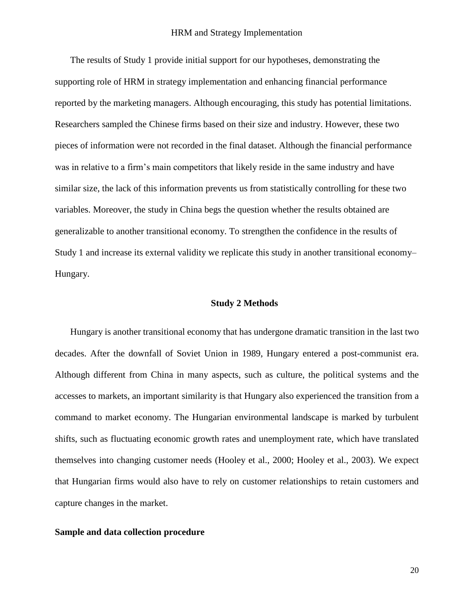The results of Study 1 provide initial support for our hypotheses, demonstrating the supporting role of HRM in strategy implementation and enhancing financial performance reported by the marketing managers. Although encouraging, this study has potential limitations. Researchers sampled the Chinese firms based on their size and industry. However, these two pieces of information were not recorded in the final dataset. Although the financial performance was in relative to a firm's main competitors that likely reside in the same industry and have similar size, the lack of this information prevents us from statistically controlling for these two variables. Moreover, the study in China begs the question whether the results obtained are generalizable to another transitional economy. To strengthen the confidence in the results of Study 1 and increase its external validity we replicate this study in another transitional economy– Hungary.

## **Study 2 Methods**

Hungary is another transitional economy that has undergone dramatic transition in the last two decades. After the downfall of Soviet Union in 1989, Hungary entered a post-communist era. Although different from China in many aspects, such as culture, the political systems and the accesses to markets, an important similarity is that Hungary also experienced the transition from a command to market economy. The Hungarian environmental landscape is marked by turbulent shifts, such as fluctuating economic growth rates and unemployment rate, which have translated themselves into changing customer needs [\(Hooley et al., 2000;](#page-35-13) [Hooley et al., 2003\)](#page-35-14). We expect that Hungarian firms would also have to rely on customer relationships to retain customers and capture changes in the market.

## **Sample and data collection procedure**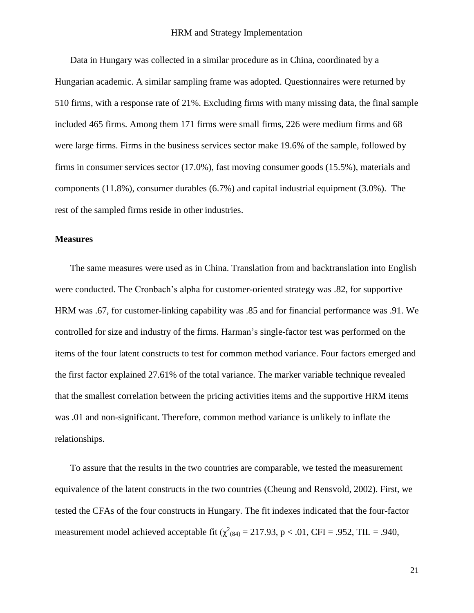Data in Hungary was collected in a similar procedure as in China, coordinated by a Hungarian academic. A similar sampling frame was adopted. Questionnaires were returned by 510 firms, with a response rate of 21%. Excluding firms with many missing data, the final sample included 465 firms. Among them 171 firms were small firms, 226 were medium firms and 68 were large firms. Firms in the business services sector make 19.6% of the sample, followed by firms in consumer services sector (17.0%), fast moving consumer goods (15.5%), materials and components (11.8%), consumer durables (6.7%) and capital industrial equipment (3.0%). The rest of the sampled firms reside in other industries.

#### **Measures**

The same measures were used as in China. Translation from and backtranslation into English were conducted. The Cronbach's alpha for customer-oriented strategy was .82, for supportive HRM was .67, for customer-linking capability was .85 and for financial performance was .91. We controlled for size and industry of the firms. Harman's single-factor test was performed on the items of the four latent constructs to test for common method variance. Four factors emerged and the first factor explained 27.61% of the total variance. The marker variable technique revealed that the smallest correlation between the pricing activities items and the supportive HRM items was .01 and non-significant. Therefore, common method variance is unlikely to inflate the relationships.

To assure that the results in the two countries are comparable, we tested the measurement equivalence of the latent constructs in the two countries [\(Cheung and Rensvold, 2002\)](#page-34-15). First, we tested the CFAs of the four constructs in Hungary. The fit indexes indicated that the four-factor measurement model achieved acceptable fit  $(\chi^2_{(84)} = 217.93, p < .01, CFI = .952, TIL = .940,$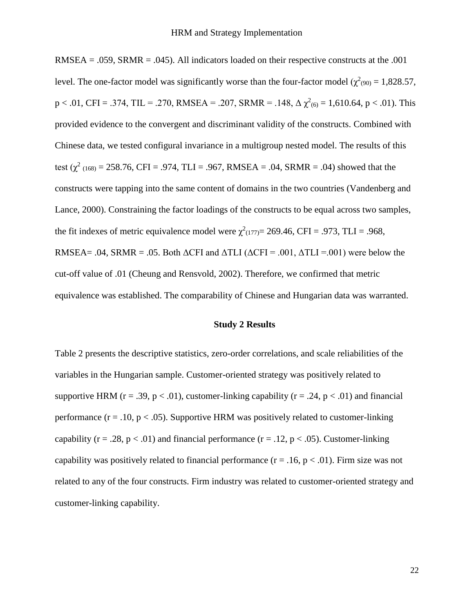$RMSEA = .059$ ,  $SRMR = .045$ ). All indicators loaded on their respective constructs at the .001 level. The one-factor model was significantly worse than the four-factor model ( $\chi^2$ <sub>(90)</sub> = 1,828.57,  $p < .01$ , CFI = .374, TIL = .270, RMSEA = .207, SRMR = .148,  $\Delta \chi^2_{(6)} = 1,610.64$ ,  $p < .01$ ). This provided evidence to the convergent and discriminant validity of the constructs. Combined with Chinese data, we tested configural invariance in a multigroup nested model. The results of this test ( $\chi^2$  (168) = 258.76, CFI = .974, TLI = .967, RMSEA = .04, SRMR = .04) showed that the constructs were tapping into the same content of domains in the two countries [\(Vandenberg and](#page-39-8)  [Lance, 2000\)](#page-39-8). Constraining the factor loadings of the constructs to be equal across two samples, the fit indexes of metric equivalence model were  $\chi^2(177)=269.46$ , CFI = .973, TLI = .968, RMSEA= .04, SRMR = .05. Both  $\triangle$ CFI and  $\triangle$ TLI ( $\triangle$ CFI = .001,  $\triangle$ TLI = .001) were below the cut-off value of .01 [\(Cheung and Rensvold, 2002\)](#page-34-15). Therefore, we confirmed that metric equivalence was established. The comparability of Chinese and Hungarian data was warranted.

## **Study 2 Results**

Table 2 presents the descriptive statistics, zero-order correlations, and scale reliabilities of the variables in the Hungarian sample. Customer-oriented strategy was positively related to supportive HRM ( $r = .39$ ,  $p < .01$ ), customer-linking capability ( $r = .24$ ,  $p < .01$ ) and financial performance  $(r = .10, p < .05)$ . Supportive HRM was positively related to customer-linking capability ( $r = .28$ ,  $p < .01$ ) and financial performance ( $r = .12$ ,  $p < .05$ ). Customer-linking capability was positively related to financial performance  $(r = .16, p < .01)$ . Firm size was not related to any of the four constructs. Firm industry was related to customer-oriented strategy and customer-linking capability.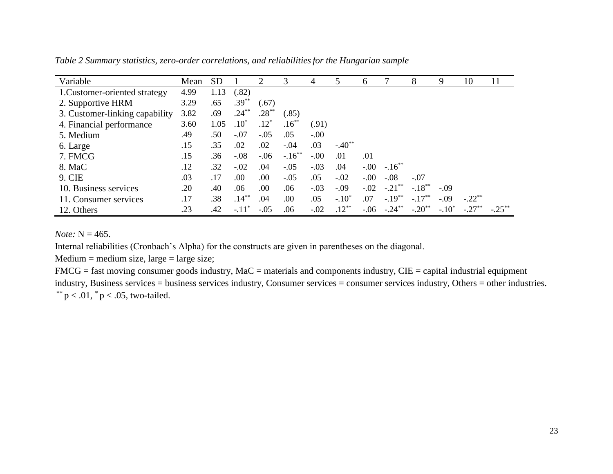| Variable                       | Mean | <b>SD</b> |          | $\mathcal{D}_{\mathcal{A}}$ | 3         | 4      | 5           | 6       |           | 8                    | 9        | 10       | 11        |
|--------------------------------|------|-----------|----------|-----------------------------|-----------|--------|-------------|---------|-----------|----------------------|----------|----------|-----------|
| 1. Customer-oriented strategy  | 4.99 | 1.13      | (.82)    |                             |           |        |             |         |           |                      |          |          |           |
| 2. Supportive HRM              | 3.29 | .65       | $.39***$ | (.67)                       |           |        |             |         |           |                      |          |          |           |
| 3. Customer-linking capability | 3.82 | .69       | $.24***$ | $.28***$                    | (.85)     |        |             |         |           |                      |          |          |           |
| 4. Financial performance       | 3.60 | 1.05      | $.10*$   | $.12*$                      | $.16***$  | (.91)  |             |         |           |                      |          |          |           |
| 5. Medium                      | .49  | .50       | $-.07$   | $-.05$                      | .05       | $-.00$ |             |         |           |                      |          |          |           |
| 6. Large                       | .15  | .35       | .02      | .02                         | $-.04$    | .03    | $-.40^{**}$ |         |           |                      |          |          |           |
| 7. FMCG                        | .15  | .36       | $-.08$   | $-.06$                      | $-.16***$ | $-.00$ | .01         | .01     |           |                      |          |          |           |
| 8. MaC                         | .12  | .32       | $-.02$   | .04                         | $-.05$    | $-.03$ | .04         | $-0.00$ | $-.16***$ |                      |          |          |           |
| 9. CIE                         | .03  | .17       | .00      | .00                         | $-.05$    | .05    | $-.02$      | $-.00$  | $-.08$    | $-.07$               |          |          |           |
| 10. Business services          | .20  | .40       | .06      | .00                         | .06       | $-.03$ | $-.09$      | $-.02$  | $-.21$ ** | $-.18$ <sup>**</sup> | $-.09$   |          |           |
| 11. Consumer services          | .17  | .38       | $.14***$ | .04                         | .00       | .05    | $-.10*$     | .07     | $-.19***$ | $-.17**$             | $-.09$   | $-.22**$ |           |
| 12. Others                     | .23  | .42       | $-.11*$  | $-.05$                      | .06       | $-.02$ | $.12***$    | $-.06$  | $-.24$    | $-.20$ <sup>**</sup> | $-.10^*$ | $-.27$   | $-.25***$ |

*Table 2 Summary statistics, zero-order correlations, and reliabilitiesfor the Hungarian sample*

*Note:* N = 465.

Internal reliabilities (Cronbach's Alpha) for the constructs are given in parentheses on the diagonal.

 $Median = medium size, large = large size;$ 

FMCG = fast moving consumer goods industry, MaC = materials and components industry, CIE = capital industrial equipment industry, Business services = business services industry, Consumer services = consumer services industry, Others = other industries. \*\*  $p < .01$ ,  $p < .05$ , two-tailed.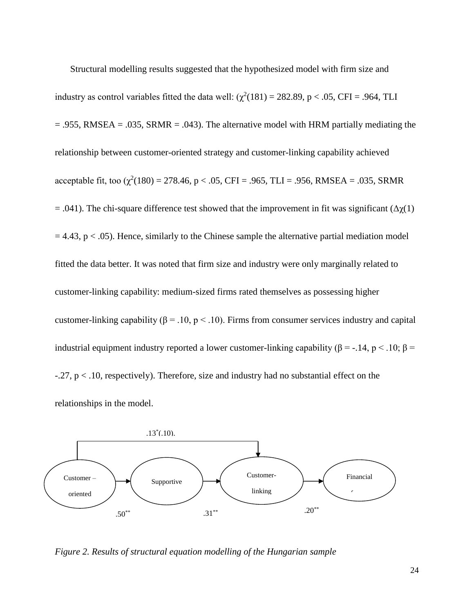Structural modelling results suggested that the hypothesized model with firm size and industry as control variables fitted the data well:  $(\chi^2(181) = 282.89, p < .05, CFI = .964, TLI$  $= .955$ , RMSEA  $= .035$ , SRMR  $= .043$ ). The alternative model with HRM partially mediating the relationship between customer-oriented strategy and customer-linking capability achieved acceptable fit, too  $(\chi^2(180) = 278.46, p < .05, CFI = .965, TLI = .956, RMSEA = .035, SRMR$  $=$  .041). The chi-square difference test showed that the improvement in fit was significant (Δ $\chi$ (1)  $= 4.43$ ,  $p < .05$ ). Hence, similarly to the Chinese sample the alternative partial mediation model fitted the data better. It was noted that firm size and industry were only marginally related to customer-linking capability: medium-sized firms rated themselves as possessing higher customer-linking capability ( $\beta$  = .10, p < .10). Firms from consumer services industry and capital industrial equipment industry reported a lower customer-linking capability (β = -.14, p < .10; β =  $-0.27$ ,  $p < 0.10$ , respectively). Therefore, size and industry had no substantial effect on the relationships in the model.



*Figure 2. Results of structural equation modelling of the Hungarian sample*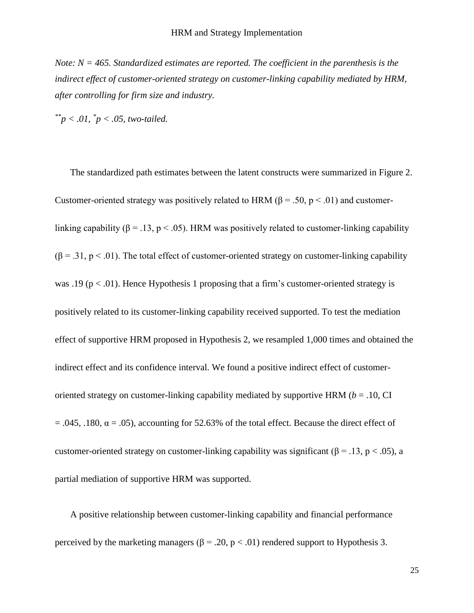*Note: N = 465. Standardized estimates are reported. The coefficient in the parenthesis is the indirect effect of customer-oriented strategy on customer-linking capability mediated by HRM, after controlling for firm size and industry.*

*\*\*p < .01, \* p < .05, two-tailed.*

The standardized path estimates between the latent constructs were summarized in Figure 2. Customer-oriented strategy was positively related to HRM ( $\beta$  = .50, p < .01) and customerlinking capability ( $\beta$  = .13, p < .05). HRM was positively related to customer-linking capability  $(\beta = .31, p < .01)$ . The total effect of customer-oriented strategy on customer-linking capability was .19 ( $p < .01$ ). Hence Hypothesis 1 proposing that a firm's customer-oriented strategy is positively related to its customer-linking capability received supported. To test the mediation effect of supportive HRM proposed in Hypothesis 2, we resampled 1,000 times and obtained the indirect effect and its confidence interval. We found a positive indirect effect of customeroriented strategy on customer-linking capability mediated by supportive HRM (*b* = .10, CI  $= .045, .180, \alpha = .05$ , accounting for 52.63% of the total effect. Because the direct effect of customer-oriented strategy on customer-linking capability was significant ( $\beta$  = .13, p < .05), a partial mediation of supportive HRM was supported.

A positive relationship between customer-linking capability and financial performance perceived by the marketing managers ( $\beta = .20$ ,  $p < .01$ ) rendered support to Hypothesis 3.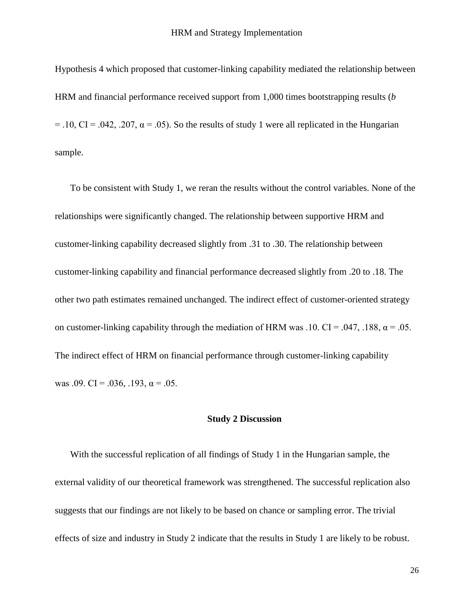Hypothesis 4 which proposed that customer-linking capability mediated the relationship between HRM and financial performance received support from 1,000 times bootstrapping results (*b*   $= .10, CI = .042, .207, \alpha = .05$ . So the results of study 1 were all replicated in the Hungarian sample.

To be consistent with Study 1, we reran the results without the control variables. None of the relationships were significantly changed. The relationship between supportive HRM and customer-linking capability decreased slightly from .31 to .30. The relationship between customer-linking capability and financial performance decreased slightly from .20 to .18. The other two path estimates remained unchanged. The indirect effect of customer-oriented strategy on customer-linking capability through the mediation of HRM was .10. CI = .047, .188,  $\alpha$  = .05. The indirect effect of HRM on financial performance through customer-linking capability was .09. CI = .036, .193,  $\alpha$  = .05.

## **Study 2 Discussion**

With the successful replication of all findings of Study 1 in the Hungarian sample, the external validity of our theoretical framework was strengthened. The successful replication also suggests that our findings are not likely to be based on chance or sampling error. The trivial effects of size and industry in Study 2 indicate that the results in Study 1 are likely to be robust.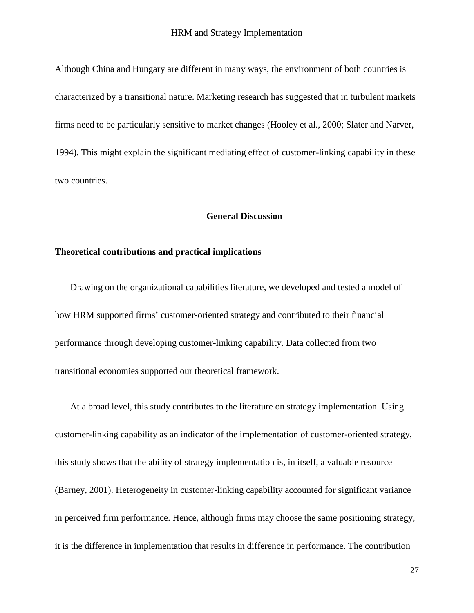Although China and Hungary are different in many ways, the environment of both countries is characterized by a transitional nature. Marketing research has suggested that in turbulent markets firms need to be particularly sensitive to market changes [\(Hooley et al., 2000;](#page-35-13) [Slater and Narver,](#page-38-13)  [1994\)](#page-38-13). This might explain the significant mediating effect of customer-linking capability in these two countries.

## **General Discussion**

## **Theoretical contributions and practical implications**

Drawing on the organizational capabilities literature, we developed and tested a model of how HRM supported firms' customer-oriented strategy and contributed to their financial performance through developing customer-linking capability. Data collected from two transitional economies supported our theoretical framework.

At a broad level, this study contributes to the literature on strategy implementation. Using customer-linking capability as an indicator of the implementation of customer-oriented strategy, this study shows that the ability of strategy implementation is, in itself, a valuable resource [\(Barney, 2001\)](#page-33-5). Heterogeneity in customer-linking capability accounted for significant variance in perceived firm performance. Hence, although firms may choose the same positioning strategy, it is the difference in implementation that results in difference in performance. The contribution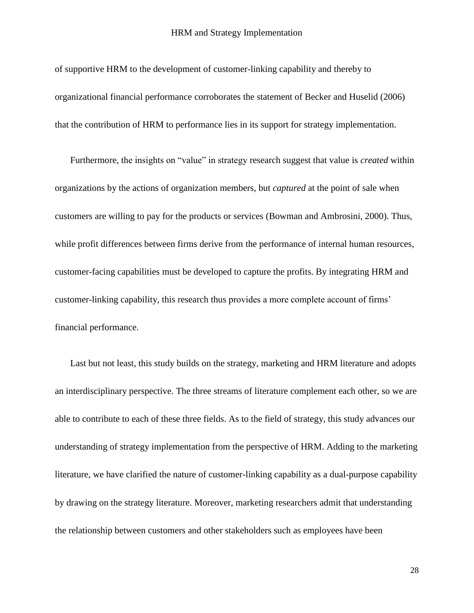of supportive HRM to the development of customer-linking capability and thereby to organizational financial performance corroborates the statement of [Becker and Huselid \(2006\)](#page-33-0) that the contribution of HRM to performance lies in its support for strategy implementation.

Furthermore, the insights on "value" in strategy research suggest that value is *created* within organizations by the actions of organization members, but *captured* at the point of sale when customers are willing to pay for the products or services [\(Bowman and Ambrosini, 2000\)](#page-33-14). Thus, while profit differences between firms derive from the performance of internal human resources, customer-facing capabilities must be developed to capture the profits. By integrating HRM and customer-linking capability, this research thus provides a more complete account of firms' financial performance.

Last but not least, this study builds on the strategy, marketing and HRM literature and adopts an interdisciplinary perspective. The three streams of literature complement each other, so we are able to contribute to each of these three fields. As to the field of strategy, this study advances our understanding of strategy implementation from the perspective of HRM. Adding to the marketing literature, we have clarified the nature of customer-linking capability as a dual-purpose capability by drawing on the strategy literature. Moreover, marketing researchers admit that understanding the relationship between customers and other stakeholders such as employees have been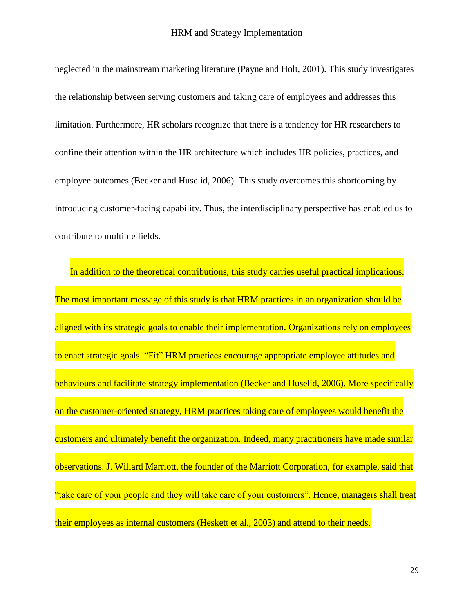neglected in the mainstream marketing literature [\(Payne and Holt, 2001\)](#page-37-12). This study investigates the relationship between serving customers and taking care of employees and addresses this limitation. Furthermore, HR scholars recognize that there is a tendency for HR researchers to confine their attention within the HR architecture which includes HR policies, practices, and employee outcomes [\(Becker and Huselid, 2006\)](#page-33-0). This study overcomes this shortcoming by introducing customer-facing capability. Thus, the interdisciplinary perspective has enabled us to contribute to multiple fields.

In addition to the theoretical contributions, this study carries useful practical implications. The most important message of this study is that HRM practices in an organization should be aligned with its strategic goals to enable their implementation. Organizations rely on employees to enact strategic goals. "Fit" HRM practices encourage appropriate employee attitudes and behaviours and facilitate strategy implementation [\(Becker and Huselid, 2006\)](#page-33-0). More specifically on the customer-oriented strategy, HRM practices taking care of employees would benefit the customers and ultimately benefit the organization. Indeed, many practitioners have made similar observations. J. Willard Marriott, the founder of the Marriott Corporation, for example, said that "take care of your people and they will take care of your customers". Hence, managers shall treat their employees as internal customers [\(Heskett et al., 2003\)](#page-35-1) and attend to their needs.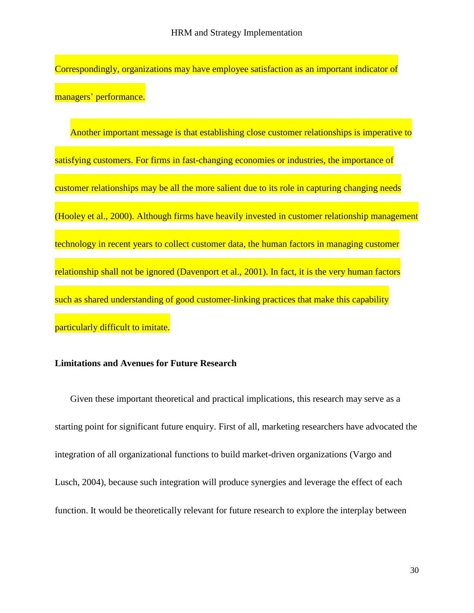Correspondingly, organizations may have employee satisfaction as an important indicator of managers' performance.

Another important message is that establishing close customer relationships is imperative to satisfying customers. For firms in fast-changing economies or industries, the importance of customer relationships may be all the more salient due to its role in capturing changing needs [\(Hooley et al., 2000\)](#page-35-13). Although firms have heavily invested in customer relationship management technology in recent years to collect customer data, the human factors in managing customer relationship shall not be ignored [\(Davenport et al., 2001\)](#page-34-5). In fact, it is the very human factors such as shared understanding of good customer-linking practices that make this capability particularly difficult to imitate.

# **Limitations and Avenues for Future Research**

Given these important theoretical and practical implications, this research may serve as a starting point for significant future enquiry. First of all, marketing researchers have advocated the integration of all organizational functions to build market-driven organizations [\(Vargo and](#page-39-6)  [Lusch, 2004\)](#page-39-6), because such integration will produce synergies and leverage the effect of each function. It would be theoretically relevant for future research to explore the interplay between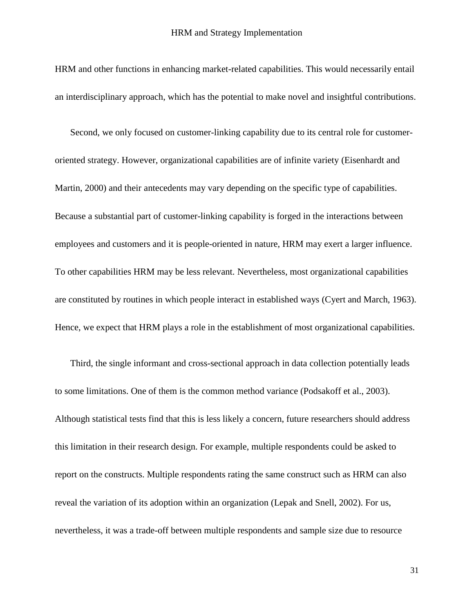HRM and other functions in enhancing market-related capabilities. This would necessarily entail an interdisciplinary approach, which has the potential to make novel and insightful contributions.

Second, we only focused on customer-linking capability due to its central role for customeroriented strategy. However, organizational capabilities are of infinite variety [\(Eisenhardt and](#page-34-4)  [Martin, 2000\)](#page-34-4) and their antecedents may vary depending on the specific type of capabilities. Because a substantial part of customer-linking capability is forged in the interactions between employees and customers and it is people-oriented in nature, HRM may exert a larger influence. To other capabilities HRM may be less relevant. Nevertheless, most organizational capabilities are constituted by routines in which people interact in established ways [\(Cyert and March, 1963\)](#page-34-16). Hence, we expect that HRM plays a role in the establishment of most organizational capabilities.

Third, the single informant and cross-sectional approach in data collection potentially leads to some limitations. One of them is the common method variance [\(Podsakoff et al., 2003\)](#page-37-15). Although statistical tests find that this is less likely a concern, future researchers should address this limitation in their research design. For example, multiple respondents could be asked to report on the constructs. Multiple respondents rating the same construct such as HRM can also reveal the variation of its adoption within an organization [\(Lepak and Snell, 2002\)](#page-36-15). For us, nevertheless, it was a trade-off between multiple respondents and sample size due to resource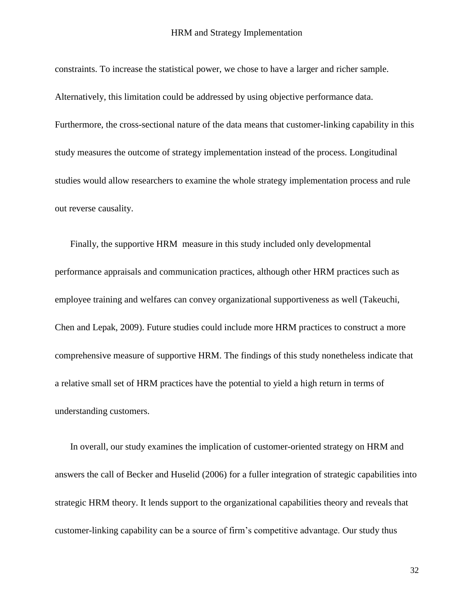constraints. To increase the statistical power, we chose to have a larger and richer sample. Alternatively, this limitation could be addressed by using objective performance data. Furthermore, the cross-sectional nature of the data means that customer-linking capability in this study measures the outcome of strategy implementation instead of the process. Longitudinal studies would allow researchers to examine the whole strategy implementation process and rule out reverse causality.

Finally, the supportive HRM measure in this study included only developmental performance appraisals and communication practices, although other HRM practices such as employee training and welfares can convey organizational supportiveness as well [\(Takeuchi,](#page-38-14)  [Chen and Lepak, 2009\)](#page-38-14). Future studies could include more HRM practices to construct a more comprehensive measure of supportive HRM. The findings of this study nonetheless indicate that a relative small set of HRM practices have the potential to yield a high return in terms of understanding customers.

In overall, our study examines the implication of customer-oriented strategy on HRM and answers the call of Becker and Huselid [\(2006\)](#page-33-0) for a fuller integration of strategic capabilities into strategic HRM theory. It lends support to the organizational capabilities theory and reveals that customer-linking capability can be a source of firm's competitive advantage. Our study thus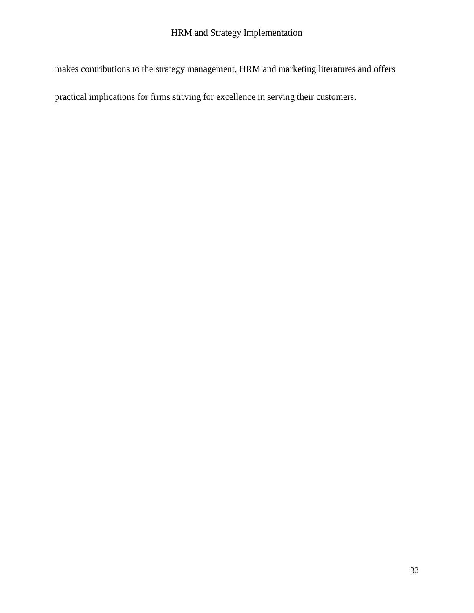makes contributions to the strategy management, HRM and marketing literatures and offers

practical implications for firms striving for excellence in serving their customers.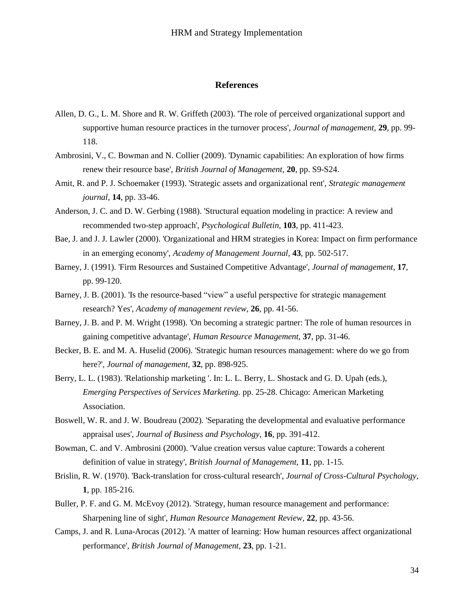## **References**

- <span id="page-33-9"></span>Allen, D. G., L. M. Shore and R. W. Griffeth (2003). 'The role of perceived organizational support and supportive human resource practices in the turnover process', *Journal of management,* **29**, pp. 99- 118.
- <span id="page-33-11"></span>Ambrosini, V., C. Bowman and N. Collier (2009). 'Dynamic capabilities: An exploration of how firms renew their resource base', *British Journal of Management,* **20**, pp. S9-S24.
- <span id="page-33-1"></span>Amit, R. and P. J. Schoemaker (1993). 'Strategic assets and organizational rent', *Strategic management journal,* **14**, pp. 33-46.
- <span id="page-33-13"></span>Anderson, J. C. and D. W. Gerbing (1988). 'Structural equation modeling in practice: A review and recommended two-step approach', *Psychological Bulletin,* **103**, pp. 411-423.
- <span id="page-33-6"></span>Bae, J. and J. J. Lawler (2000). 'Organizational and HRM strategies in Korea: Impact on firm performance in an emerging economy', *Academy of Management Journal,* **43**, pp. 502-517.
- <span id="page-33-2"></span>Barney, J. (1991). 'Firm Resources and Sustained Competitive Advantage', *Journal of management,* **17**, pp. 99-120.
- <span id="page-33-5"></span>Barney, J. B. (2001). 'Is the resource-based "view" a useful perspective for strategic management research? Yes', *Academy of management review,* **26**, pp. 41-56.
- <span id="page-33-4"></span>Barney, J. B. and P. M. Wright (1998). 'On becoming a strategic partner: The role of human resources in gaining competitive advantage', *Human Resource Management,* **37**, pp. 31-46.
- <span id="page-33-0"></span>Becker, B. E. and M. A. Huselid (2006). 'Strategic human resources management: where do we go from here?', *Journal of management,* **32**, pp. 898-925.
- <span id="page-33-8"></span>Berry, L. L. (1983). 'Relationship marketing '. In: L. L. Berry, L. Shostack and G. D. Upah (eds.), *Emerging Perspectives of Services Marketing.* pp. 25-28. Chicago: American Marketing Association.
- <span id="page-33-10"></span>Boswell, W. R. and J. W. Boudreau (2002). 'Separating the developmental and evaluative performance appraisal uses', *Journal of Business and Psychology,* **16**, pp. 391-412.
- <span id="page-33-14"></span>Bowman, C. and V. Ambrosini (2000). 'Value creation versus value capture: Towards a coherent definition of value in strategy', *British Journal of Management,* **11**, pp. 1-15.
- <span id="page-33-12"></span>Brislin, R. W. (1970). 'Back-translation for cross-cultural research', *Journal of Cross-Cultural Psychology,* **1**, pp. 185-216.
- <span id="page-33-3"></span>Buller, P. F. and G. M. McEvoy (2012). 'Strategy, human resource management and performance: Sharpening line of sight', *Human Resource Management Review,* **22**, pp. 43-56.
- <span id="page-33-7"></span>Camps, J. and R. Luna-Arocas (2012). 'A matter of learning: How human resources affect organizational performance', *British Journal of Management,* **23**, pp. 1-21.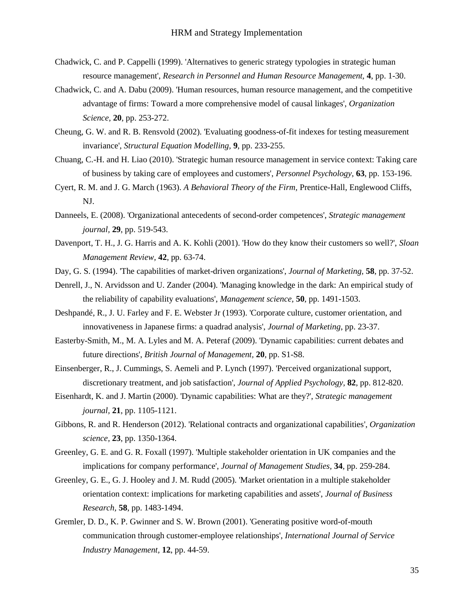- <span id="page-34-3"></span>Chadwick, C. and P. Cappelli (1999). 'Alternatives to generic strategy typologies in strategic human resource management', *Research in Personnel and Human Resource Management,* **4**, pp. 1-30.
- <span id="page-34-8"></span>Chadwick, C. and A. Dabu (2009). 'Human resources, human resource management, and the competitive advantage of firms: Toward a more comprehensive model of causal linkages', *Organization Science,* **20**, pp. 253-272.
- <span id="page-34-15"></span>Cheung, G. W. and R. B. Rensvold (2002). 'Evaluating goodness-of-fit indexes for testing measurement invariance', *Structural Equation Modelling,* **9**, pp. 233-255.
- <span id="page-34-0"></span>Chuang, C.-H. and H. Liao (2010). 'Strategic human resource management in service context: Taking care of business by taking care of employees and customers', *Personnel Psychology,* **63**, pp. 153-196.
- <span id="page-34-16"></span>Cyert, R. M. and J. G. March (1963). *A Behavioral Theory of the Firm,* Prentice-Hall, Englewood Cliffs, NJ.
- <span id="page-34-13"></span>Danneels, E. (2008). 'Organizational antecedents of second-order competences', *Strategic management journal,* **29**, pp. 519-543.
- <span id="page-34-5"></span>Davenport, T. H., J. G. Harris and A. K. Kohli (2001). 'How do they know their customers so well?', *Sloan Management Review,* **42**, pp. 63-74.
- <span id="page-34-1"></span>Day, G. S. (1994). 'The capabilities of market-driven organizations', *Journal of Marketing,* **58**, pp. 37-52.
- <span id="page-34-14"></span>Denrell, J., N. Arvidsson and U. Zander (2004). 'Managing knowledge in the dark: An empirical study of the reliability of capability evaluations', *Management science,* **50**, pp. 1491-1503.
- <span id="page-34-2"></span>Deshpandé, R., J. U. Farley and F. E. Webster Jr (1993). 'Corporate culture, customer orientation, and innovativeness in Japanese firms: a quadrad analysis', *Journal of Marketing*, pp. 23-37.
- <span id="page-34-10"></span>Easterby-Smith, M., M. A. Lyles and M. A. Peteraf (2009). 'Dynamic capabilities: current debates and future directions', *British Journal of Management,* **20**, pp. S1-S8.
- <span id="page-34-7"></span>Einsenberger, R., J. Cummings, S. Aemeli and P. Lynch (1997). 'Perceived organizational support, discretionary treatment, and job satisfaction', *Journal of Applied Psychology,* **82**, pp. 812-820.
- <span id="page-34-4"></span>Eisenhardt, K. and J. Martin (2000). 'Dynamic capabilities: What are they?', *Strategic management journal,* **21**, pp. 1105-1121.
- <span id="page-34-9"></span>Gibbons, R. and R. Henderson (2012). 'Relational contracts and organizational capabilities', *Organization science,* **23**, pp. 1350-1364.
- <span id="page-34-11"></span>Greenley, G. E. and G. R. Foxall (1997). 'Multiple stakeholder orientation in UK companies and the implications for company performance', *Journal of Management Studies,* **34**, pp. 259-284.
- <span id="page-34-12"></span>Greenley, G. E., G. J. Hooley and J. M. Rudd (2005). 'Market orientation in a multiple stakeholder orientation context: implications for marketing capabilities and assets', *Journal of Business Research,* **58**, pp. 1483-1494.
- <span id="page-34-6"></span>Gremler, D. D., K. P. Gwinner and S. W. Brown (2001). 'Generating positive word-of-mouth communication through customer-employee relationships', *International Journal of Service Industry Management,* **12**, pp. 44-59.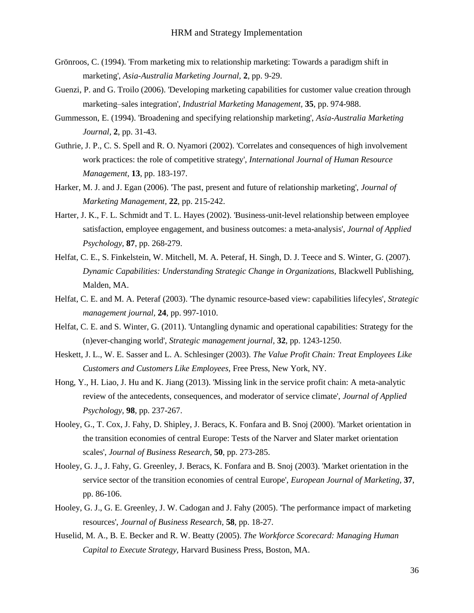- <span id="page-35-8"></span>Grönroos, C. (1994). 'From marketing mix to relationship marketing: Towards a paradigm shift in marketing', *Asia-Australia Marketing Journal,* **2**, pp. 9-29.
- <span id="page-35-12"></span>Guenzi, P. and G. Troilo (2006). 'Developing marketing capabilities for customer value creation through marketing–sales integration', *Industrial Marketing Management,* **35**, pp. 974-988.
- <span id="page-35-9"></span>Gummesson, E. (1994). 'Broadening and specifying relationship marketing', *Asia-Australia Marketing Journal,* **2**, pp. 31-43.
- <span id="page-35-6"></span>Guthrie, J. P., C. S. Spell and R. O. Nyamori (2002). 'Correlates and consequences of high involvement work practices: the role of competitive strategy', *International Journal of Human Resource Management,* **13**, pp. 183-197.
- <span id="page-35-10"></span>Harker, M. J. and J. Egan (2006). 'The past, present and future of relationship marketing', *Journal of Marketing Management,* **22**, pp. 215-242.
- <span id="page-35-11"></span>Harter, J. K., F. L. Schmidt and T. L. Hayes (2002). 'Business-unit-level relationship between employee satisfaction, employee engagement, and business outcomes: a meta-analysis', *Journal of Applied Psychology,* **87**, pp. 268-279.
- <span id="page-35-7"></span>Helfat, C. E., S. Finkelstein, W. Mitchell, M. A. Peteraf, H. Singh, D. J. Teece and S. Winter, G. (2007). *Dynamic Capabilities: Understanding Strategic Change in Organizations,* Blackwell Publishing, Malden, MA.
- <span id="page-35-5"></span>Helfat, C. E. and M. A. Peteraf (2003). 'The dynamic resource-based view: capabilities lifecyles', *Strategic management journal,* **24**, pp. 997-1010.
- <span id="page-35-3"></span>Helfat, C. E. and S. Winter, G. (2011). 'Untangling dynamic and operational capabilities: Strategy for the (n)ever-changing world', *Strategic management journal,* **32**, pp. 1243-1250.
- <span id="page-35-1"></span>Heskett, J. L., W. E. Sasser and L. A. Schlesinger (2003). *The Value Profit Chain: Treat Employees Like Customers and Customers Like Employees,* Free Press, New York, NY.
- <span id="page-35-2"></span>Hong, Y., H. Liao, J. Hu and K. Jiang (2013). 'Missing link in the service profit chain: A meta-analytic review of the antecedents, consequences, and moderator of service climate', *Journal of Applied Psychology,* **98**, pp. 237-267.
- <span id="page-35-13"></span>Hooley, G., T. Cox, J. Fahy, D. Shipley, J. Beracs, K. Fonfara and B. Snoj (2000). 'Market orientation in the transition economies of central Europe: Tests of the Narver and Slater market orientation scales', *Journal of Business Research,* **50**, pp. 273-285.
- <span id="page-35-14"></span>Hooley, G. J., J. Fahy, G. Greenley, J. Beracs, K. Fonfara and B. Snoj (2003). 'Market orientation in the service sector of the transition economies of central Europe', *European Journal of Marketing,* **37**, pp. 86-106.
- <span id="page-35-4"></span>Hooley, G. J., G. E. Greenley, J. W. Cadogan and J. Fahy (2005). 'The performance impact of marketing resources', *Journal of Business Research,* **58**, pp. 18-27.
- <span id="page-35-0"></span>Huselid, M. A., B. E. Becker and R. W. Beatty (2005). *The Workforce Scorecard: Managing Human Capital to Execute Strategy,* Harvard Business Press, Boston, MA.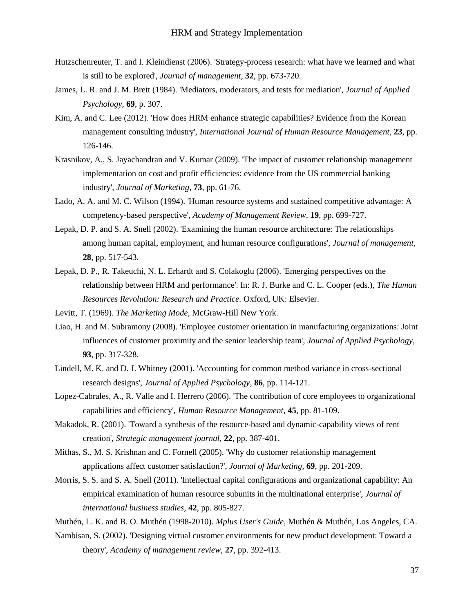- <span id="page-36-7"></span>Hutzschenreuter, T. and I. Kleindienst (2006). 'Strategy-process research: what have we learned and what is still to be explored', *Journal of management,* **32**, pp. 673-720.
- <span id="page-36-13"></span>James, L. R. and J. M. Brett (1984). 'Mediators, moderators, and tests for mediation', *Journal of Applied Psychology,* **69**, p. 307.
- <span id="page-36-3"></span>Kim, A. and C. Lee (2012). 'How does HRM enhance strategic capabilities? Evidence from the Korean management consulting industry', *International Journal of Human Resource Management,* **23**, pp. 126-146.
- <span id="page-36-2"></span>Krasnikov, A., S. Jayachandran and V. Kumar (2009). 'The impact of customer relationship management implementation on cost and profit efficiencies: evidence from the US commercial banking industry', *Journal of Marketing,* **73**, pp. 61-76.
- <span id="page-36-4"></span>Lado, A. A. and M. C. Wilson (1994). 'Human resource systems and sustained competitive advantage: A competency-based perspective', *Academy of Management Review,* **19**, pp. 699-727.
- <span id="page-36-15"></span>Lepak, D. P. and S. A. Snell (2002). 'Examining the human resource architecture: The relationships among human capital, employment, and human resource configurations', *Journal of management,* **28**, pp. 517-543.
- <span id="page-36-11"></span>Lepak, D. P., R. Takeuchi, N. L. Erhardt and S. Colakoglu (2006). 'Emerging perspectives on the relationship between HRM and performance'. In: R. J. Burke and C. L. Cooper (eds.), *The Human Resources Revolution: Research and Practice.* Oxford, UK: Elsevier.

<span id="page-36-9"></span>Levitt, T. (1969). *The Marketing Mode,* McGraw-Hill New York.

- <span id="page-36-0"></span>Liao, H. and M. Subramony (2008). 'Employee customer orientation in manufacturing organizations: Joint influences of customer proximity and the senior leadership team', *Journal of Applied Psychology,* **93**, pp. 317-328.
- <span id="page-36-14"></span>Lindell, M. K. and D. J. Whitney (2001). 'Accounting for common method variance in cross-sectional research designs', *Journal of Applied Psychology,* **86**, pp. 114-121.
- <span id="page-36-5"></span>Lopez-Cabrales, A., R. Valle and I. Herrero (2006). 'The contribution of core employees to organizational capabilities and efficiency', *Human Resource Management,* **45**, pp. 81-109.
- <span id="page-36-1"></span>Makadok, R. (2001). 'Toward a synthesis of the resource-based and dynamic-capability views of rent creation', *Strategic management journal,* **22**, pp. 387-401.
- <span id="page-36-8"></span>Mithas, S., M. S. Krishnan and C. Fornell (2005). 'Why do customer relationship management applications affect customer satisfaction?', *Journal of Marketing,* **69**, pp. 201-209.
- <span id="page-36-6"></span>Morris, S. S. and S. A. Snell (2011). 'Intellectual capital configurations and organizational capability: An empirical examination of human resource subunits in the multinational enterprise', *Journal of international business studies,* **42**, pp. 805-827.
- <span id="page-36-12"></span>Muthén, L. K. and B. O. Muthén (1998-2010). *Mplus User's Guide,* Muthén & Muthén, Los Angeles, CA.
- <span id="page-36-10"></span>Nambisan, S. (2002). 'Designing virtual customer environments for new product development: Toward a theory', *Academy of management review,* **27**, pp. 392-413.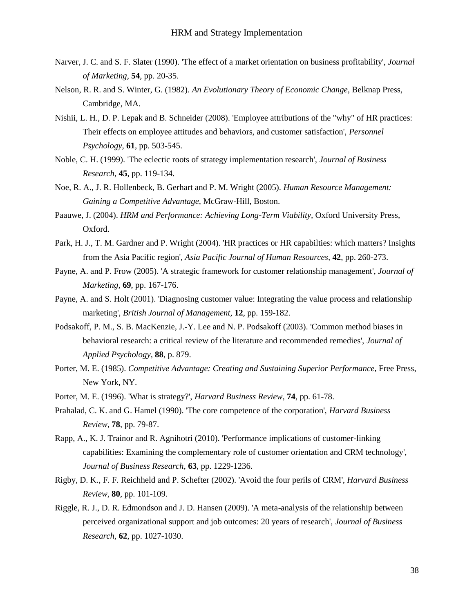- <span id="page-37-0"></span>Narver, J. C. and S. F. Slater (1990). 'The effect of a market orientation on business profitability', *Journal of Marketing,* **54**, pp. 20-35.
- <span id="page-37-3"></span>Nelson, R. R. and S. Winter, G. (1982). *An Evolutionary Theory of Economic Change,* Belknap Press, Cambridge, MA.
- <span id="page-37-2"></span>Nishii, L. H., D. P. Lepak and B. Schneider (2008). 'Employee attributions of the "why" of HR practices: Their effects on employee attitudes and behaviors, and customer satisfaction', *Personnel Psychology,* **61**, pp. 503-545.
- <span id="page-37-8"></span>Noble, C. H. (1999). 'The eclectic roots of strategy implementation research', *Journal of Business Research,* **45**, pp. 119-134.
- <span id="page-37-1"></span>Noe, R. A., J. R. Hollenbeck, B. Gerhart and P. M. Wright (2005). *Human Resource Management: Gaining a Competitive Advantage,* McGraw-Hill, Boston.
- <span id="page-37-6"></span>Paauwe, J. (2004). *HRM and Performance: Achieving Long-Term Viability*, Oxford University Press, Oxford.
- <span id="page-37-7"></span>Park, H. J., T. M. Gardner and P. Wright (2004). 'HR practices or HR capabilties: which matters? Insights from the Asia Pacific region', *Asia Pacific Journal of Human Resources,* **42**, pp. 260-273.
- <span id="page-37-5"></span>Payne, A. and P. Frow (2005). 'A strategic framework for customer relationship management', *Journal of Marketing,* **69**, pp. 167-176.
- <span id="page-37-12"></span>Payne, A. and S. Holt (2001). 'Diagnosing customer value: Integrating the value process and relationship marketing', *British Journal of Management,* **12**, pp. 159-182.
- <span id="page-37-15"></span>Podsakoff, P. M., S. B. MacKenzie, J.-Y. Lee and N. P. Podsakoff (2003). 'Common method biases in behavioral research: a critical review of the literature and recommended remedies', *Journal of Applied Psychology,* **88**, p. 879.
- <span id="page-37-9"></span>Porter, M. E. (1985). *Competitive Advantage: Creating and Sustaining Superior Performance*, Free Press, New York, NY.
- <span id="page-37-10"></span>Porter, M. E. (1996). 'What is strategy?', *Harvard Business Review,* **74**, pp. 61-78.
- <span id="page-37-11"></span>Prahalad, C. K. and G. Hamel (1990). 'The core competence of the corporation', *Harvard Business Review,* **78**, pp. 79-87.
- <span id="page-37-4"></span>Rapp, A., K. J. Trainor and R. Agnihotri (2010). 'Performance implications of customer-linking capabilities: Examining the complementary role of customer orientation and CRM technology', *Journal of Business Research,* **63**, pp. 1229-1236.
- <span id="page-37-14"></span>Rigby, D. K., F. F. Reichheld and P. Schefter (2002). 'Avoid the four perils of CRM', *Harvard Business Review,* **80**, pp. 101-109.
- <span id="page-37-13"></span>Riggle, R. J., D. R. Edmondson and J. D. Hansen (2009). 'A meta-analysis of the relationship between perceived organizational support and job outcomes: 20 years of research', *Journal of Business Research,* **62**, pp. 1027-1030.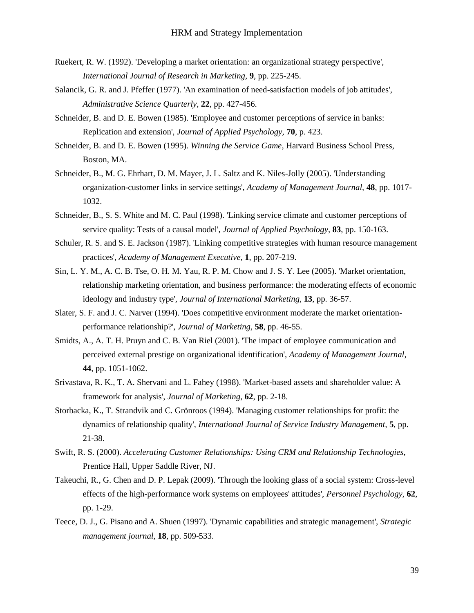- <span id="page-38-4"></span>Ruekert, R. W. (1992). 'Developing a market orientation: an organizational strategy perspective', *International Journal of Research in Marketing,* **9**, pp. 225-245.
- <span id="page-38-12"></span>Salancik, G. R. and J. Pfeffer (1977). 'An examination of need-satisfaction models of job attitudes', *Administrative Science Quarterly,* **22**, pp. 427-456.
- <span id="page-38-6"></span>Schneider, B. and D. E. Bowen (1985). 'Employee and customer perceptions of service in banks: Replication and extension', *Journal of Applied Psychology,* **70**, p. 423.
- <span id="page-38-8"></span>Schneider, B. and D. E. Bowen (1995). *Winning the Service Game,* Harvard Business School Press, Boston, MA.
- <span id="page-38-9"></span>Schneider, B., M. G. Ehrhart, D. M. Mayer, J. L. Saltz and K. Niles-Jolly (2005). 'Understanding organization-customer links in service settings', *Academy of Management Journal,* **48**, pp. 1017- 1032.
- <span id="page-38-10"></span>Schneider, B., S. S. White and M. C. Paul (1998). 'Linking service climate and customer perceptions of service quality: Tests of a causal model', *Journal of Applied Psychology,* **83**, pp. 150-163.
- <span id="page-38-2"></span>Schuler, R. S. and S. E. Jackson (1987). 'Linking competitive strategies with human resource management practices', *Academy of Management Executive,* **1**, pp. 207-219.
- <span id="page-38-11"></span>Sin, L. Y. M., A. C. B. Tse, O. H. M. Yau, R. P. M. Chow and J. S. Y. Lee (2005). 'Market orientation, relationship marketing orientation, and business performance: the moderating effects of economic ideology and industry type', *Journal of International Marketing,* **13**, pp. 36-57.
- <span id="page-38-13"></span>Slater, S. F. and J. C. Narver (1994). 'Does competitive environment moderate the market orientationperformance relationship?', *Journal of Marketing,* **58**, pp. 46-55.
- <span id="page-38-7"></span>Smidts, A., A. T. H. Pruyn and C. B. Van Riel (2001). 'The impact of employee communication and perceived external prestige on organizational identification', *Academy of Management Journal,* **44**, pp. 1051-1062.
- <span id="page-38-0"></span>Srivastava, R. K., T. A. Shervani and L. Fahey (1998). 'Market-based assets and shareholder value: A framework for analysis', *Journal of Marketing,* **62**, pp. 2-18.
- <span id="page-38-1"></span>Storbacka, K., T. Strandvik and C. Grönroos (1994). 'Managing customer relationships for profit: the dynamics of relationship quality', *International Journal of Service Industry Management,* **5**, pp. 21-38.
- <span id="page-38-5"></span>Swift, R. S. (2000). *Accelerating Customer Relationships: Using CRM and Relationship Technologies,*  Prentice Hall, Upper Saddle River, NJ.
- <span id="page-38-14"></span>Takeuchi, R., G. Chen and D. P. Lepak (2009). 'Through the looking glass of a social system: Cross-level effects of the high-performance work systems on employees' attitudes', *Personnel Psychology,* **62**, pp. 1-29.
- <span id="page-38-3"></span>Teece, D. J., G. Pisano and A. Shuen (1997). 'Dynamic capabilities and strategic management', *Strategic management journal,* **18**, pp. 509-533.